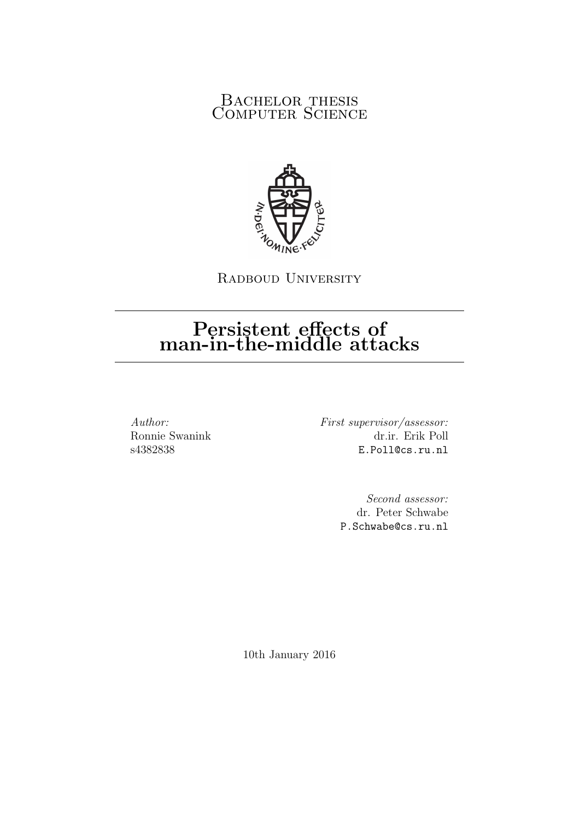# BACHELOR THESIS COMPUTER SCIENCE



RADBOUD UNIVERSITY

# Persistent effects of man-in-the-middle attacks

Author: Ronnie Swanink s4382838

First supervisor/assessor: dr.ir. Erik Poll E.Poll@cs.ru.nl

> Second assessor: dr. Peter Schwabe P.Schwabe@cs.ru.nl

10th January 2016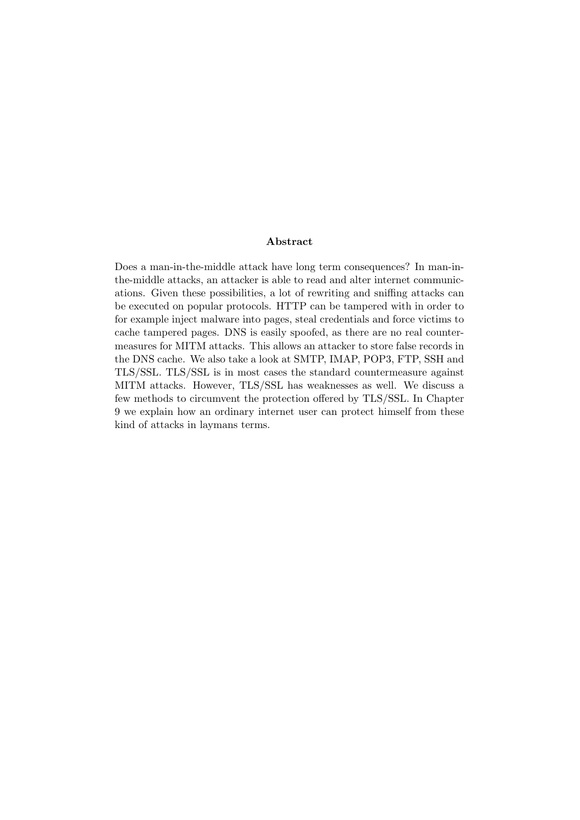#### Abstract

Does a man-in-the-middle attack have long term consequences? In man-inthe-middle attacks, an attacker is able to read and alter internet communications. Given these possibilities, a lot of rewriting and sniffing attacks can be executed on popular protocols. HTTP can be tampered with in order to for example inject malware into pages, steal credentials and force victims to cache tampered pages. DNS is easily spoofed, as there are no real countermeasures for MITM attacks. This allows an attacker to store false records in the DNS cache. We also take a look at SMTP, IMAP, POP3, FTP, SSH and TLS/SSL. TLS/SSL is in most cases the standard countermeasure against MITM attacks. However, TLS/SSL has weaknesses as well. We discuss a few methods to circumvent the protection offered by TLS/SSL. In Chapter 9 we explain how an ordinary internet user can protect himself from these kind of attacks in laymans terms.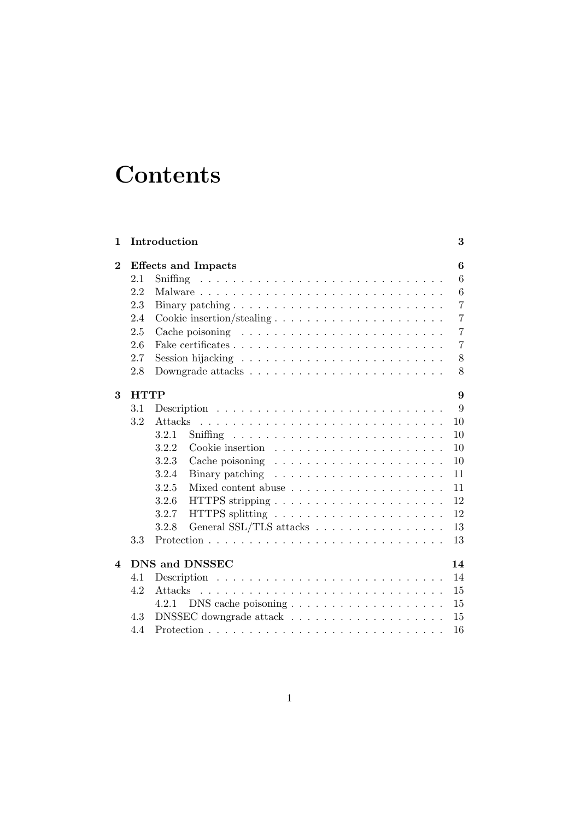# **Contents**

| 1              |             | Introduction                                                                                                                 | 3              |
|----------------|-------------|------------------------------------------------------------------------------------------------------------------------------|----------------|
| $\bf{2}$       |             | <b>Effects and Impacts</b>                                                                                                   | 6              |
|                | 2.1         |                                                                                                                              | 6              |
|                | 2.2         |                                                                                                                              | 6              |
|                | 2.3         |                                                                                                                              | $\overline{7}$ |
|                | 2.4         |                                                                                                                              | $\overline{7}$ |
|                | 2.5         | Cache poisoning $\ldots \ldots \ldots \ldots \ldots \ldots \ldots \ldots$                                                    | 7              |
|                | 2.6         |                                                                                                                              | 7              |
|                | 2.7         |                                                                                                                              | 8              |
|                | 2.8         | Downgrade attacks $\ldots \ldots \ldots \ldots \ldots \ldots \ldots \ldots$                                                  | 8              |
| 3              | <b>HTTP</b> |                                                                                                                              | 9              |
|                | 3.1         |                                                                                                                              | 9              |
|                | 3.2         | Attacks                                                                                                                      | 10             |
|                |             | 3.2.1                                                                                                                        | 10             |
|                |             | 3.2.2                                                                                                                        | 10             |
|                |             | 3.2.3<br>Cache poisoning $\ldots \ldots \ldots \ldots \ldots \ldots \ldots$                                                  | 10             |
|                |             | 3.2.4<br>Binary patching $\dots \dots \dots \dots \dots \dots \dots$                                                         | 11             |
|                |             | 3.2.5                                                                                                                        | 11             |
|                |             | 3.2.6<br>HTTPS stripping $\ldots \ldots \ldots \ldots \ldots \ldots \ldots$                                                  | 12             |
|                |             | 3.2.7                                                                                                                        | 12             |
|                |             | General SSL/TLS attacks<br>3.2.8                                                                                             | 13             |
|                | 3.3         |                                                                                                                              | 13             |
| $\overline{4}$ |             | <b>DNS and DNSSEC</b>                                                                                                        | 14             |
|                | 4.1         |                                                                                                                              | 14             |
|                | 4.2         |                                                                                                                              | 15             |
|                |             | $DNS$ cache poisoning $\ldots \ldots \ldots \ldots \ldots \ldots \ldots$<br>4.2.1                                            | 15             |
|                | 4.3         | $\label{eq:thm:dist} \text{DNSSEC}~\text{downgrade}~\text{attack}~~\ldots~~\ldots~~\ldots~~\ldots~~\ldots~~\ldots~~\ldots~~$ | 15             |
|                | 4.4         |                                                                                                                              | 16             |
|                |             |                                                                                                                              |                |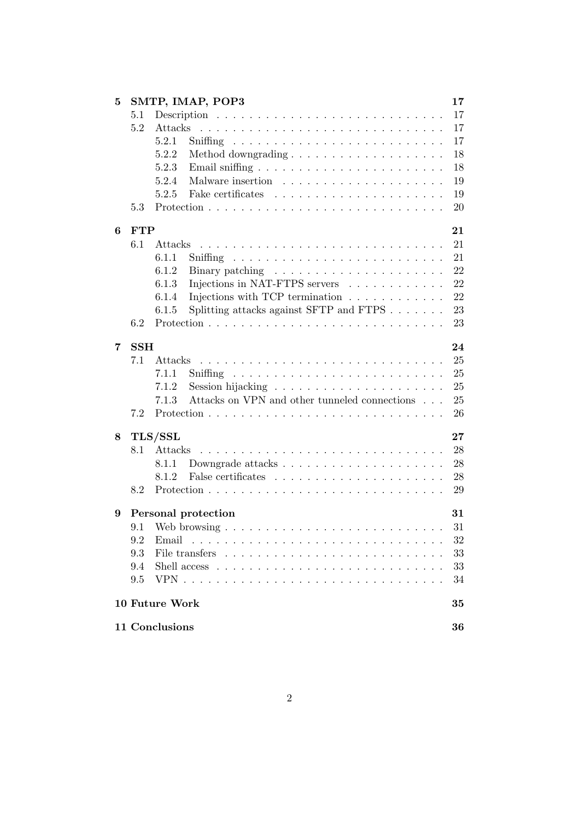| 5 |                      | SMTP, IMAP, POP3                                                        | 17     |  |  |
|---|----------------------|-------------------------------------------------------------------------|--------|--|--|
|   | 5.1                  |                                                                         | 17     |  |  |
|   | 5.2                  | Attacks                                                                 | 17     |  |  |
|   |                      | 5.2.1                                                                   | 17     |  |  |
|   |                      | 5.2.2<br>Method downgrading $\ldots \ldots \ldots \ldots \ldots \ldots$ | 18     |  |  |
|   |                      | 5.2.3                                                                   | 18     |  |  |
|   |                      | 5.2.4                                                                   | 19     |  |  |
|   |                      | 5.2.5                                                                   | 19     |  |  |
|   | 5.3                  |                                                                         | 20     |  |  |
| 6 | <b>FTP</b>           |                                                                         | 21     |  |  |
|   | 6.1                  | Attacks                                                                 | 21     |  |  |
|   |                      | 6.1.1                                                                   | 21     |  |  |
|   |                      | 6.1.2                                                                   | 22     |  |  |
|   |                      | Injections in NAT-FTPS servers<br>6.1.3                                 | 22     |  |  |
|   |                      | Injections with TCP termination $\ldots \ldots \ldots \ldots$<br>6.1.4  | 22     |  |  |
|   |                      | Splitting attacks against SFTP and FTPS $\ldots \ldots$<br>6.1.5        | 23     |  |  |
|   | 6.2                  |                                                                         | 23     |  |  |
| 7 | <b>SSH</b>           |                                                                         | 24     |  |  |
|   | 7.1                  | Attacks                                                                 | 25     |  |  |
|   |                      | 7.1.1                                                                   | 25     |  |  |
|   |                      | 7.1.2                                                                   | 25     |  |  |
|   |                      | Attacks on VPN and other tunneled connections $\hfill\ldots$<br>7.1.3   | 25     |  |  |
|   | 7.2                  |                                                                         | 26     |  |  |
| 8 |                      | TLS/SSL                                                                 | $27\,$ |  |  |
|   | 8.1                  | Attacks                                                                 | 28     |  |  |
|   |                      | 8.1.1                                                                   | 28     |  |  |
|   |                      | 8.1.2                                                                   | 28     |  |  |
|   | 8.2                  |                                                                         | 29     |  |  |
| 9 |                      | Personal protection                                                     | 31     |  |  |
|   | 9.1                  |                                                                         | 31     |  |  |
|   | 9.2                  | Email                                                                   | 32     |  |  |
|   | 9.3                  |                                                                         | 33     |  |  |
|   | 9.4                  |                                                                         | 33     |  |  |
|   | 9.5                  |                                                                         | 34     |  |  |
|   |                      | 10 Future Work                                                          | 35     |  |  |
|   |                      |                                                                         |        |  |  |
|   | 11 Conclusions<br>36 |                                                                         |        |  |  |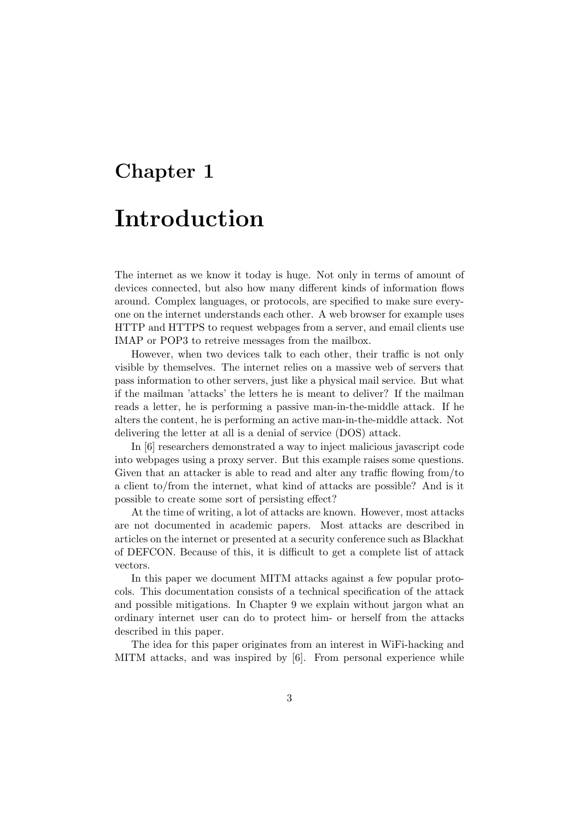# Chapter 1 Introduction

The internet as we know it today is huge. Not only in terms of amount of devices connected, but also how many different kinds of information flows around. Complex languages, or protocols, are specified to make sure everyone on the internet understands each other. A web browser for example uses HTTP and HTTPS to request webpages from a server, and email clients use IMAP or POP3 to retreive messages from the mailbox.

However, when two devices talk to each other, their traffic is not only visible by themselves. The internet relies on a massive web of servers that pass information to other servers, just like a physical mail service. But what if the mailman 'attacks' the letters he is meant to deliver? If the mailman reads a letter, he is performing a passive man-in-the-middle attack. If he alters the content, he is performing an active man-in-the-middle attack. Not delivering the letter at all is a denial of service (DOS) attack.

In [6] researchers demonstrated a way to inject malicious javascript code into webpages using a proxy server. But this example raises some questions. Given that an attacker is able to read and alter any traffic flowing from/to a client to/from the internet, what kind of attacks are possible? And is it possible to create some sort of persisting effect?

At the time of writing, a lot of attacks are known. However, most attacks are not documented in academic papers. Most attacks are described in articles on the internet or presented at a security conference such as Blackhat of DEFCON. Because of this, it is difficult to get a complete list of attack vectors.

In this paper we document MITM attacks against a few popular protocols. This documentation consists of a technical specification of the attack and possible mitigations. In Chapter 9 we explain without jargon what an ordinary internet user can do to protect him- or herself from the attacks described in this paper.

The idea for this paper originates from an interest in WiFi-hacking and MITM attacks, and was inspired by [6]. From personal experience while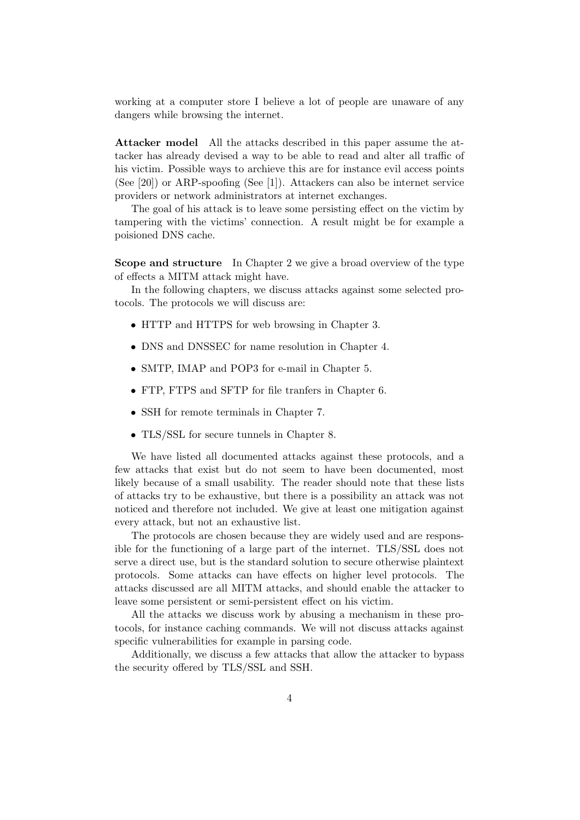working at a computer store I believe a lot of people are unaware of any dangers while browsing the internet.

Attacker model All the attacks described in this paper assume the attacker has already devised a way to be able to read and alter all traffic of his victim. Possible ways to archieve this are for instance evil access points (See [20]) or ARP-spoofing (See [1]). Attackers can also be internet service providers or network administrators at internet exchanges.

The goal of his attack is to leave some persisting effect on the victim by tampering with the victims' connection. A result might be for example a poisioned DNS cache.

Scope and structure In Chapter 2 we give a broad overview of the type of effects a MITM attack might have.

In the following chapters, we discuss attacks against some selected protocols. The protocols we will discuss are:

- HTTP and HTTPS for web browsing in Chapter 3.
- DNS and DNSSEC for name resolution in Chapter 4.
- SMTP, IMAP and POP3 for e-mail in Chapter 5.
- FTP, FTPS and SFTP for file tranfers in Chapter 6.
- SSH for remote terminals in Chapter 7.
- TLS/SSL for secure tunnels in Chapter 8.

We have listed all documented attacks against these protocols, and a few attacks that exist but do not seem to have been documented, most likely because of a small usability. The reader should note that these lists of attacks try to be exhaustive, but there is a possibility an attack was not noticed and therefore not included. We give at least one mitigation against every attack, but not an exhaustive list.

The protocols are chosen because they are widely used and are responsible for the functioning of a large part of the internet. TLS/SSL does not serve a direct use, but is the standard solution to secure otherwise plaintext protocols. Some attacks can have effects on higher level protocols. The attacks discussed are all MITM attacks, and should enable the attacker to leave some persistent or semi-persistent effect on his victim.

All the attacks we discuss work by abusing a mechanism in these protocols, for instance caching commands. We will not discuss attacks against specific vulnerabilities for example in parsing code.

Additionally, we discuss a few attacks that allow the attacker to bypass the security offered by TLS/SSL and SSH.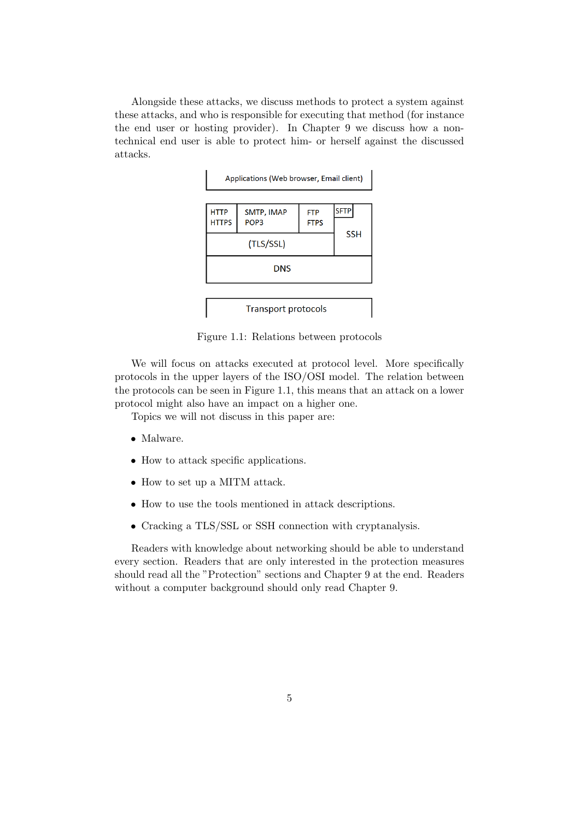Alongside these attacks, we discuss methods to protect a system against these attacks, and who is responsible for executing that method (for instance the end user or hosting provider). In Chapter 9 we discuss how a nontechnical end user is able to protect him- or herself against the discussed attacks.



Figure 1.1: Relations between protocols

We will focus on attacks executed at protocol level. More specifically protocols in the upper layers of the ISO/OSI model. The relation between the protocols can be seen in Figure 1.1, this means that an attack on a lower protocol might also have an impact on a higher one.

Topics we will not discuss in this paper are:

- Malware.
- How to attack specific applications.
- How to set up a MITM attack.
- How to use the tools mentioned in attack descriptions.
- Cracking a TLS/SSL or SSH connection with cryptanalysis.

Readers with knowledge about networking should be able to understand every section. Readers that are only interested in the protection measures should read all the "Protection" sections and Chapter 9 at the end. Readers without a computer background should only read Chapter 9.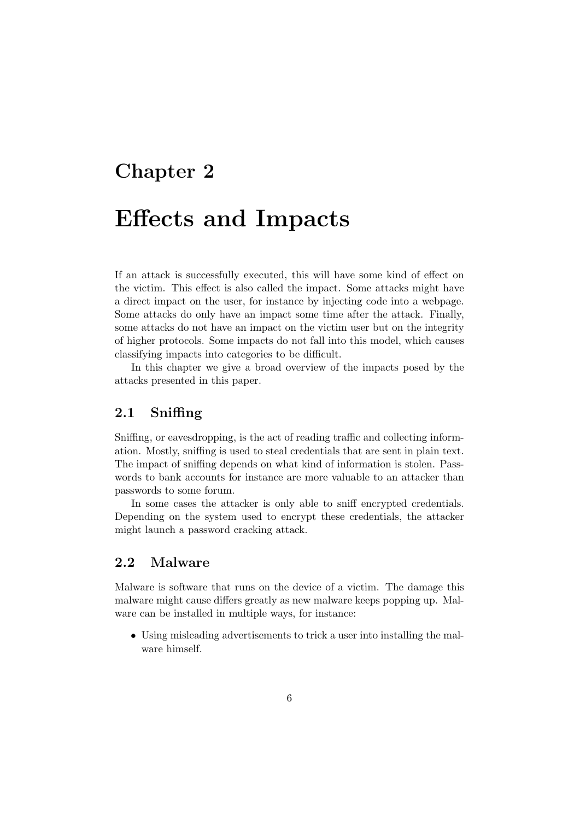# Chapter 2

# Effects and Impacts

If an attack is successfully executed, this will have some kind of effect on the victim. This effect is also called the impact. Some attacks might have a direct impact on the user, for instance by injecting code into a webpage. Some attacks do only have an impact some time after the attack. Finally, some attacks do not have an impact on the victim user but on the integrity of higher protocols. Some impacts do not fall into this model, which causes classifying impacts into categories to be difficult.

In this chapter we give a broad overview of the impacts posed by the attacks presented in this paper.

## 2.1 Sniffing

Sniffing, or eavesdropping, is the act of reading traffic and collecting information. Mostly, sniffing is used to steal credentials that are sent in plain text. The impact of sniffing depends on what kind of information is stolen. Passwords to bank accounts for instance are more valuable to an attacker than passwords to some forum.

In some cases the attacker is only able to sniff encrypted credentials. Depending on the system used to encrypt these credentials, the attacker might launch a password cracking attack.

# 2.2 Malware

Malware is software that runs on the device of a victim. The damage this malware might cause differs greatly as new malware keeps popping up. Malware can be installed in multiple ways, for instance:

• Using misleading advertisements to trick a user into installing the malware himself.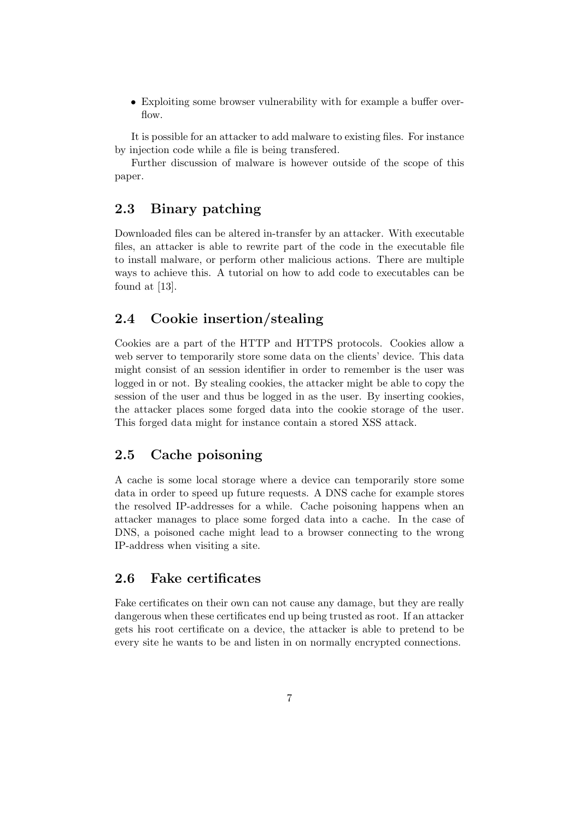• Exploiting some browser vulnerability with for example a buffer overflow.

It is possible for an attacker to add malware to existing files. For instance by injection code while a file is being transfered.

Further discussion of malware is however outside of the scope of this paper.

# 2.3 Binary patching

Downloaded files can be altered in-transfer by an attacker. With executable files, an attacker is able to rewrite part of the code in the executable file to install malware, or perform other malicious actions. There are multiple ways to achieve this. A tutorial on how to add code to executables can be found at [13].

# 2.4 Cookie insertion/stealing

Cookies are a part of the HTTP and HTTPS protocols. Cookies allow a web server to temporarily store some data on the clients' device. This data might consist of an session identifier in order to remember is the user was logged in or not. By stealing cookies, the attacker might be able to copy the session of the user and thus be logged in as the user. By inserting cookies, the attacker places some forged data into the cookie storage of the user. This forged data might for instance contain a stored XSS attack.

## 2.5 Cache poisoning

A cache is some local storage where a device can temporarily store some data in order to speed up future requests. A DNS cache for example stores the resolved IP-addresses for a while. Cache poisoning happens when an attacker manages to place some forged data into a cache. In the case of DNS, a poisoned cache might lead to a browser connecting to the wrong IP-address when visiting a site.

# 2.6 Fake certificates

Fake certificates on their own can not cause any damage, but they are really dangerous when these certificates end up being trusted as root. If an attacker gets his root certificate on a device, the attacker is able to pretend to be every site he wants to be and listen in on normally encrypted connections.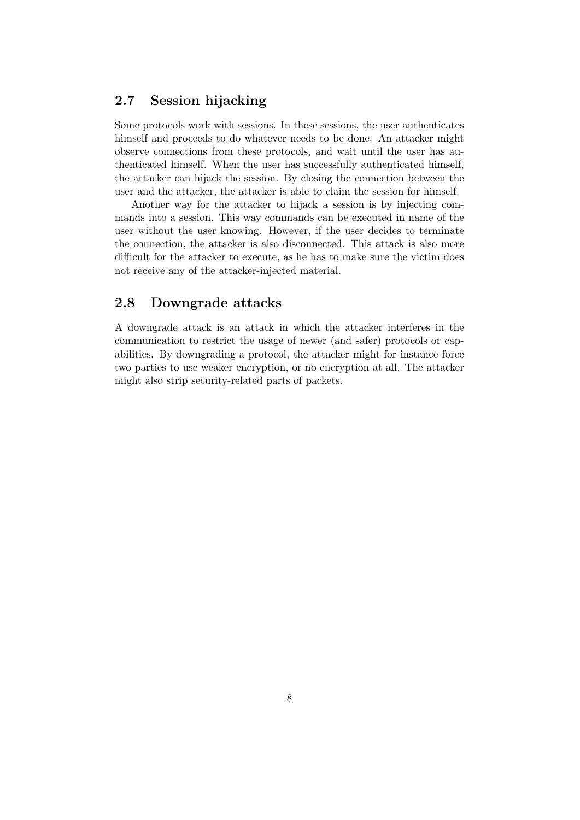## 2.7 Session hijacking

Some protocols work with sessions. In these sessions, the user authenticates himself and proceeds to do whatever needs to be done. An attacker might observe connections from these protocols, and wait until the user has authenticated himself. When the user has successfully authenticated himself, the attacker can hijack the session. By closing the connection between the user and the attacker, the attacker is able to claim the session for himself.

Another way for the attacker to hijack a session is by injecting commands into a session. This way commands can be executed in name of the user without the user knowing. However, if the user decides to terminate the connection, the attacker is also disconnected. This attack is also more difficult for the attacker to execute, as he has to make sure the victim does not receive any of the attacker-injected material.

### 2.8 Downgrade attacks

A downgrade attack is an attack in which the attacker interferes in the communication to restrict the usage of newer (and safer) protocols or capabilities. By downgrading a protocol, the attacker might for instance force two parties to use weaker encryption, or no encryption at all. The attacker might also strip security-related parts of packets.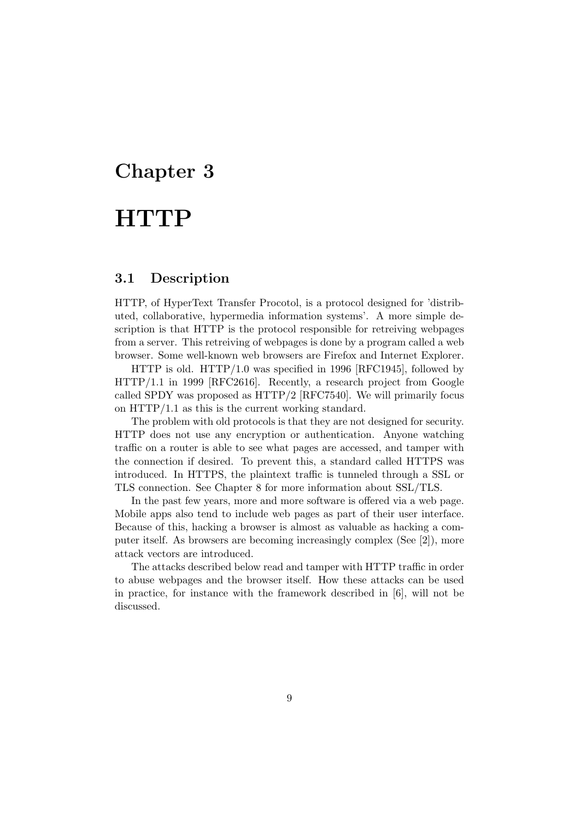# Chapter 3

# **HTTP**

### 3.1 Description

HTTP, of HyperText Transfer Procotol, is a protocol designed for 'distributed, collaborative, hypermedia information systems'. A more simple description is that HTTP is the protocol responsible for retreiving webpages from a server. This retreiving of webpages is done by a program called a web browser. Some well-known web browsers are Firefox and Internet Explorer.

HTTP is old. HTTP/1.0 was specified in 1996 [RFC1945], followed by HTTP/1.1 in 1999 [RFC2616]. Recently, a research project from Google called SPDY was proposed as HTTP/2 [RFC7540]. We will primarily focus on HTTP/1.1 as this is the current working standard.

The problem with old protocols is that they are not designed for security. HTTP does not use any encryption or authentication. Anyone watching traffic on a router is able to see what pages are accessed, and tamper with the connection if desired. To prevent this, a standard called HTTPS was introduced. In HTTPS, the plaintext traffic is tunneled through a SSL or TLS connection. See Chapter 8 for more information about SSL/TLS.

In the past few years, more and more software is offered via a web page. Mobile apps also tend to include web pages as part of their user interface. Because of this, hacking a browser is almost as valuable as hacking a computer itself. As browsers are becoming increasingly complex (See [2]), more attack vectors are introduced.

The attacks described below read and tamper with HTTP traffic in order to abuse webpages and the browser itself. How these attacks can be used in practice, for instance with the framework described in [6], will not be discussed.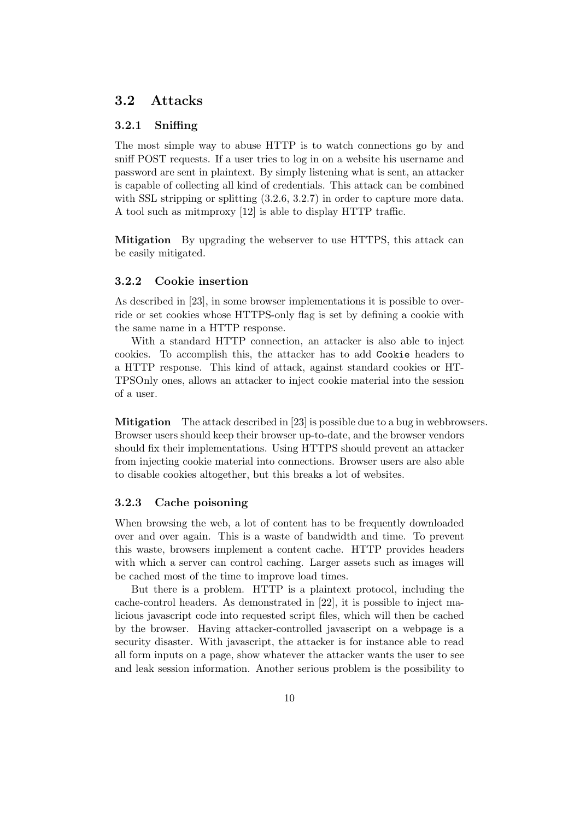### 3.2 Attacks

#### 3.2.1 Sniffing

The most simple way to abuse HTTP is to watch connections go by and sniff POST requests. If a user tries to log in on a website his username and password are sent in plaintext. By simply listening what is sent, an attacker is capable of collecting all kind of credentials. This attack can be combined with SSL stripping or splitting  $(3.2.6, 3.2.7)$  in order to capture more data. A tool such as mitmproxy [12] is able to display HTTP traffic.

Mitigation By upgrading the webserver to use HTTPS, this attack can be easily mitigated.

#### 3.2.2 Cookie insertion

As described in [23], in some browser implementations it is possible to override or set cookies whose HTTPS-only flag is set by defining a cookie with the same name in a HTTP response.

With a standard HTTP connection, an attacker is also able to inject cookies. To accomplish this, the attacker has to add Cookie headers to a HTTP response. This kind of attack, against standard cookies or HT-TPSOnly ones, allows an attacker to inject cookie material into the session of a user.

Mitigation The attack described in [23] is possible due to a bug in webbrowsers. Browser users should keep their browser up-to-date, and the browser vendors should fix their implementations. Using HTTPS should prevent an attacker from injecting cookie material into connections. Browser users are also able to disable cookies altogether, but this breaks a lot of websites.

#### 3.2.3 Cache poisoning

When browsing the web, a lot of content has to be frequently downloaded over and over again. This is a waste of bandwidth and time. To prevent this waste, browsers implement a content cache. HTTP provides headers with which a server can control caching. Larger assets such as images will be cached most of the time to improve load times.

But there is a problem. HTTP is a plaintext protocol, including the cache-control headers. As demonstrated in [22], it is possible to inject malicious javascript code into requested script files, which will then be cached by the browser. Having attacker-controlled javascript on a webpage is a security disaster. With javascript, the attacker is for instance able to read all form inputs on a page, show whatever the attacker wants the user to see and leak session information. Another serious problem is the possibility to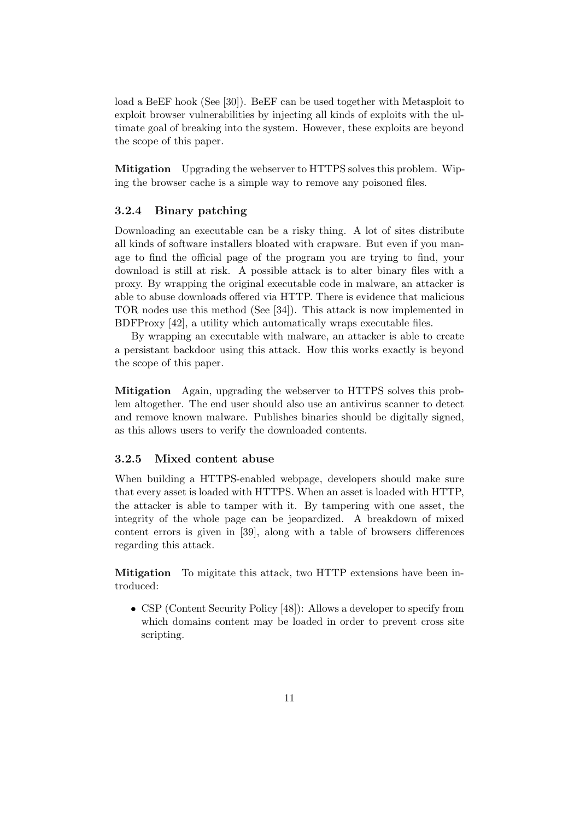load a BeEF hook (See [30]). BeEF can be used together with Metasploit to exploit browser vulnerabilities by injecting all kinds of exploits with the ultimate goal of breaking into the system. However, these exploits are beyond the scope of this paper.

Mitigation Upgrading the webserver to HTTPS solves this problem. Wiping the browser cache is a simple way to remove any poisoned files.

#### 3.2.4 Binary patching

Downloading an executable can be a risky thing. A lot of sites distribute all kinds of software installers bloated with crapware. But even if you manage to find the official page of the program you are trying to find, your download is still at risk. A possible attack is to alter binary files with a proxy. By wrapping the original executable code in malware, an attacker is able to abuse downloads offered via HTTP. There is evidence that malicious TOR nodes use this method (See [34]). This attack is now implemented in BDFProxy [42], a utility which automatically wraps executable files.

By wrapping an executable with malware, an attacker is able to create a persistant backdoor using this attack. How this works exactly is beyond the scope of this paper.

Mitigation Again, upgrading the webserver to HTTPS solves this problem altogether. The end user should also use an antivirus scanner to detect and remove known malware. Publishes binaries should be digitally signed, as this allows users to verify the downloaded contents.

#### 3.2.5 Mixed content abuse

When building a HTTPS-enabled webpage, developers should make sure that every asset is loaded with HTTPS. When an asset is loaded with HTTP, the attacker is able to tamper with it. By tampering with one asset, the integrity of the whole page can be jeopardized. A breakdown of mixed content errors is given in [39], along with a table of browsers differences regarding this attack.

Mitigation To migitate this attack, two HTTP extensions have been introduced:

• CSP (Content Security Policy [48]): Allows a developer to specify from which domains content may be loaded in order to prevent cross site scripting.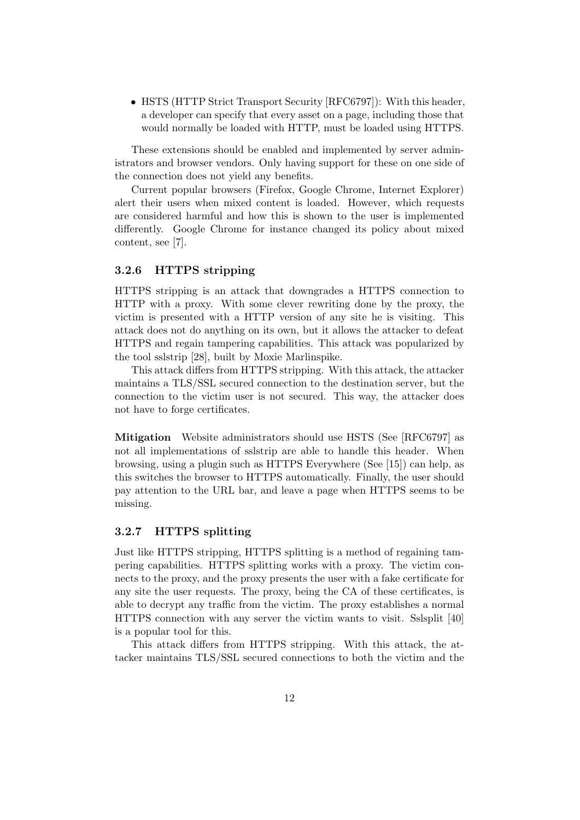• HSTS (HTTP Strict Transport Security [RFC6797]): With this header. a developer can specify that every asset on a page, including those that would normally be loaded with HTTP, must be loaded using HTTPS.

These extensions should be enabled and implemented by server administrators and browser vendors. Only having support for these on one side of the connection does not yield any benefits.

Current popular browsers (Firefox, Google Chrome, Internet Explorer) alert their users when mixed content is loaded. However, which requests are considered harmful and how this is shown to the user is implemented differently. Google Chrome for instance changed its policy about mixed content, see [7].

#### 3.2.6 HTTPS stripping

HTTPS stripping is an attack that downgrades a HTTPS connection to HTTP with a proxy. With some clever rewriting done by the proxy, the victim is presented with a HTTP version of any site he is visiting. This attack does not do anything on its own, but it allows the attacker to defeat HTTPS and regain tampering capabilities. This attack was popularized by the tool sslstrip [28], built by Moxie Marlinspike.

This attack differs from HTTPS stripping. With this attack, the attacker maintains a TLS/SSL secured connection to the destination server, but the connection to the victim user is not secured. This way, the attacker does not have to forge certificates.

Mitigation Website administrators should use HSTS (See [RFC6797] as not all implementations of sslstrip are able to handle this header. When browsing, using a plugin such as HTTPS Everywhere (See [15]) can help, as this switches the browser to HTTPS automatically. Finally, the user should pay attention to the URL bar, and leave a page when HTTPS seems to be missing.

### 3.2.7 HTTPS splitting

Just like HTTPS stripping, HTTPS splitting is a method of regaining tampering capabilities. HTTPS splitting works with a proxy. The victim connects to the proxy, and the proxy presents the user with a fake certificate for any site the user requests. The proxy, being the CA of these certificates, is able to decrypt any traffic from the victim. The proxy establishes a normal HTTPS connection with any server the victim wants to visit. Sslsplit [40] is a popular tool for this.

This attack differs from HTTPS stripping. With this attack, the attacker maintains TLS/SSL secured connections to both the victim and the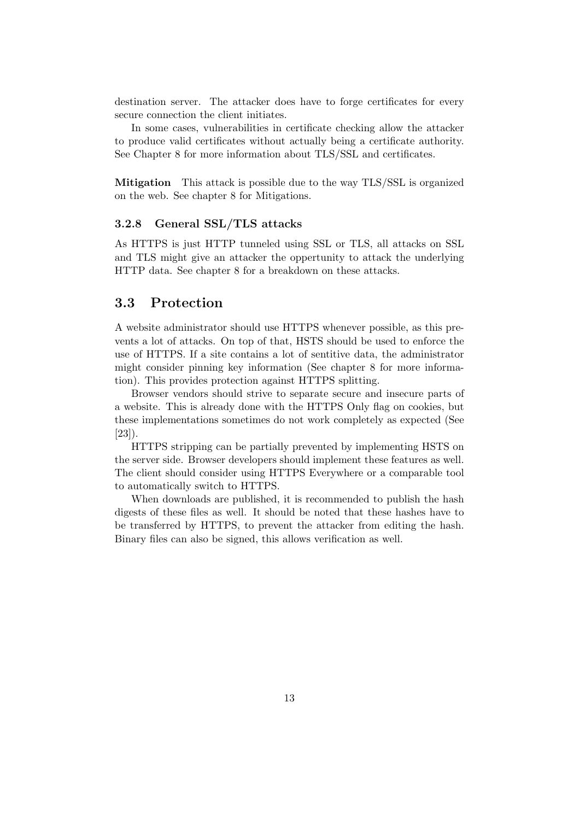destination server. The attacker does have to forge certificates for every secure connection the client initiates.

In some cases, vulnerabilities in certificate checking allow the attacker to produce valid certificates without actually being a certificate authority. See Chapter 8 for more information about TLS/SSL and certificates.

Mitigation This attack is possible due to the way TLS/SSL is organized on the web. See chapter 8 for Mitigations.

#### 3.2.8 General SSL/TLS attacks

As HTTPS is just HTTP tunneled using SSL or TLS, all attacks on SSL and TLS might give an attacker the oppertunity to attack the underlying HTTP data. See chapter 8 for a breakdown on these attacks.

### 3.3 Protection

A website administrator should use HTTPS whenever possible, as this prevents a lot of attacks. On top of that, HSTS should be used to enforce the use of HTTPS. If a site contains a lot of sentitive data, the administrator might consider pinning key information (See chapter 8 for more information). This provides protection against HTTPS splitting.

Browser vendors should strive to separate secure and insecure parts of a website. This is already done with the HTTPS Only flag on cookies, but these implementations sometimes do not work completely as expected (See [23]).

HTTPS stripping can be partially prevented by implementing HSTS on the server side. Browser developers should implement these features as well. The client should consider using HTTPS Everywhere or a comparable tool to automatically switch to HTTPS.

When downloads are published, it is recommended to publish the hash digests of these files as well. It should be noted that these hashes have to be transferred by HTTPS, to prevent the attacker from editing the hash. Binary files can also be signed, this allows verification as well.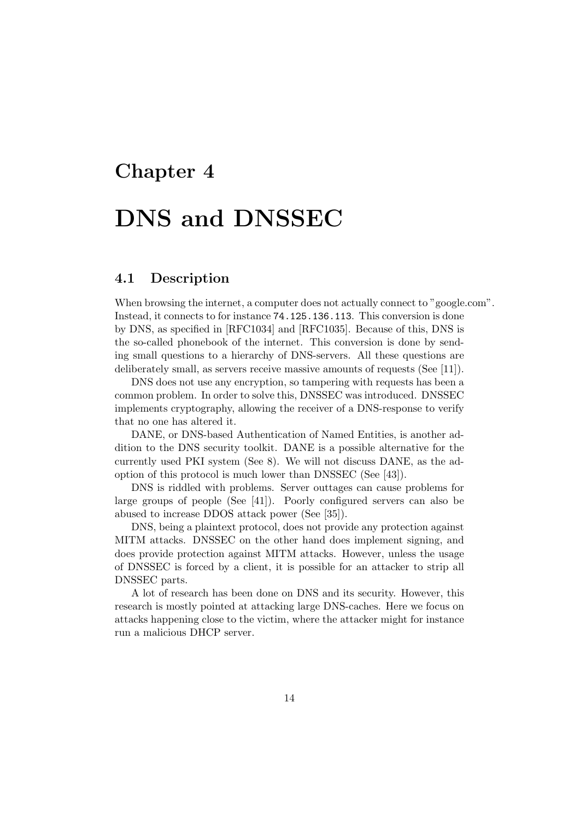# Chapter 4

# DNS and DNSSEC

# 4.1 Description

When browsing the internet, a computer does not actually connect to "google.com". Instead, it connects to for instance 74.125.136.113. This conversion is done by DNS, as specified in [RFC1034] and [RFC1035]. Because of this, DNS is the so-called phonebook of the internet. This conversion is done by sending small questions to a hierarchy of DNS-servers. All these questions are deliberately small, as servers receive massive amounts of requests (See [11]).

DNS does not use any encryption, so tampering with requests has been a common problem. In order to solve this, DNSSEC was introduced. DNSSEC implements cryptography, allowing the receiver of a DNS-response to verify that no one has altered it.

DANE, or DNS-based Authentication of Named Entities, is another addition to the DNS security toolkit. DANE is a possible alternative for the currently used PKI system (See 8). We will not discuss DANE, as the adoption of this protocol is much lower than DNSSEC (See [43]).

DNS is riddled with problems. Server outtages can cause problems for large groups of people (See [41]). Poorly configured servers can also be abused to increase DDOS attack power (See [35]).

DNS, being a plaintext protocol, does not provide any protection against MITM attacks. DNSSEC on the other hand does implement signing, and does provide protection against MITM attacks. However, unless the usage of DNSSEC is forced by a client, it is possible for an attacker to strip all DNSSEC parts.

A lot of research has been done on DNS and its security. However, this research is mostly pointed at attacking large DNS-caches. Here we focus on attacks happening close to the victim, where the attacker might for instance run a malicious DHCP server.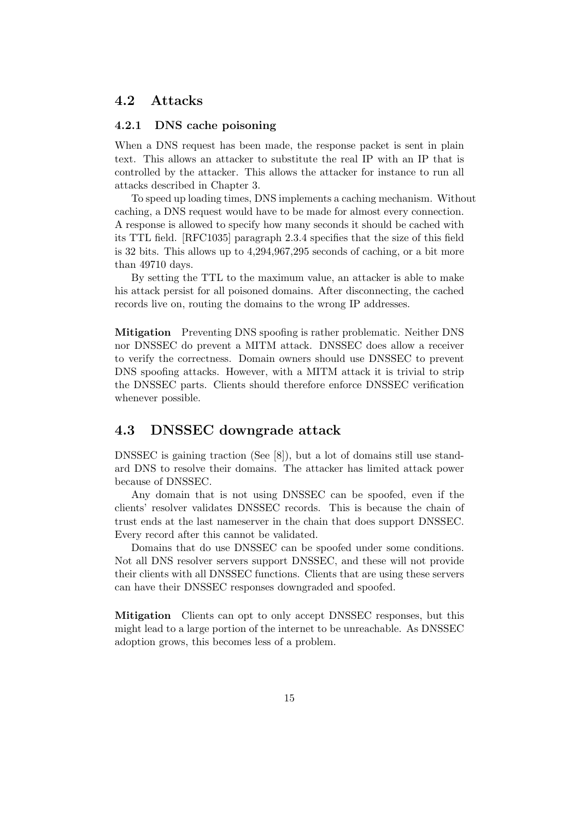### 4.2 Attacks

#### 4.2.1 DNS cache poisoning

When a DNS request has been made, the response packet is sent in plain text. This allows an attacker to substitute the real IP with an IP that is controlled by the attacker. This allows the attacker for instance to run all attacks described in Chapter 3.

To speed up loading times, DNS implements a caching mechanism. Without caching, a DNS request would have to be made for almost every connection. A response is allowed to specify how many seconds it should be cached with its TTL field. [RFC1035] paragraph 2.3.4 specifies that the size of this field is 32 bits. This allows up to 4,294,967,295 seconds of caching, or a bit more than 49710 days.

By setting the TTL to the maximum value, an attacker is able to make his attack persist for all poisoned domains. After disconnecting, the cached records live on, routing the domains to the wrong IP addresses.

Mitigation Preventing DNS spoofing is rather problematic. Neither DNS nor DNSSEC do prevent a MITM attack. DNSSEC does allow a receiver to verify the correctness. Domain owners should use DNSSEC to prevent DNS spoofing attacks. However, with a MITM attack it is trivial to strip the DNSSEC parts. Clients should therefore enforce DNSSEC verification whenever possible.

## 4.3 DNSSEC downgrade attack

DNSSEC is gaining traction (See [8]), but a lot of domains still use standard DNS to resolve their domains. The attacker has limited attack power because of DNSSEC.

Any domain that is not using DNSSEC can be spoofed, even if the clients' resolver validates DNSSEC records. This is because the chain of trust ends at the last nameserver in the chain that does support DNSSEC. Every record after this cannot be validated.

Domains that do use DNSSEC can be spoofed under some conditions. Not all DNS resolver servers support DNSSEC, and these will not provide their clients with all DNSSEC functions. Clients that are using these servers can have their DNSSEC responses downgraded and spoofed.

Mitigation Clients can opt to only accept DNSSEC responses, but this might lead to a large portion of the internet to be unreachable. As DNSSEC adoption grows, this becomes less of a problem.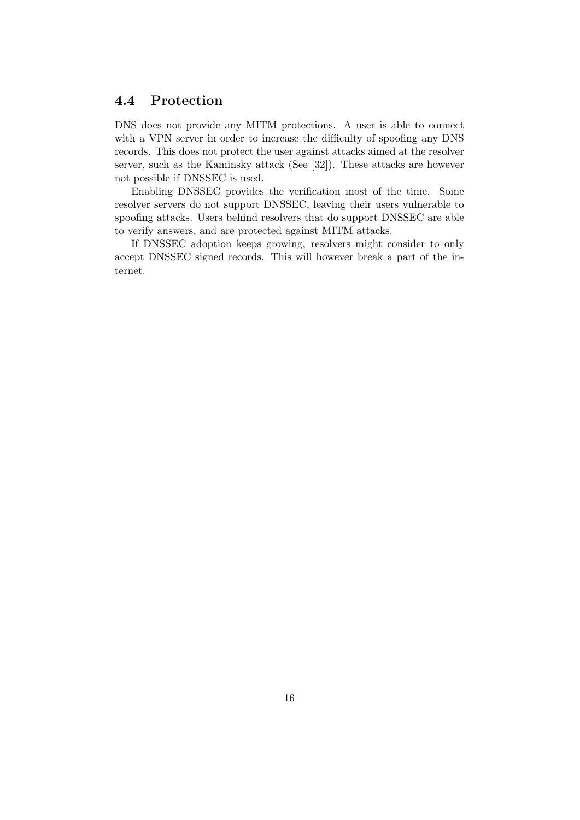# 4.4 Protection

DNS does not provide any MITM protections. A user is able to connect with a VPN server in order to increase the difficulty of spoofing any DNS records. This does not protect the user against attacks aimed at the resolver server, such as the Kaminsky attack (See [32]). These attacks are however not possible if DNSSEC is used.

Enabling DNSSEC provides the verification most of the time. Some resolver servers do not support DNSSEC, leaving their users vulnerable to spoofing attacks. Users behind resolvers that do support DNSSEC are able to verify answers, and are protected against MITM attacks.

If DNSSEC adoption keeps growing, resolvers might consider to only accept DNSSEC signed records. This will however break a part of the internet.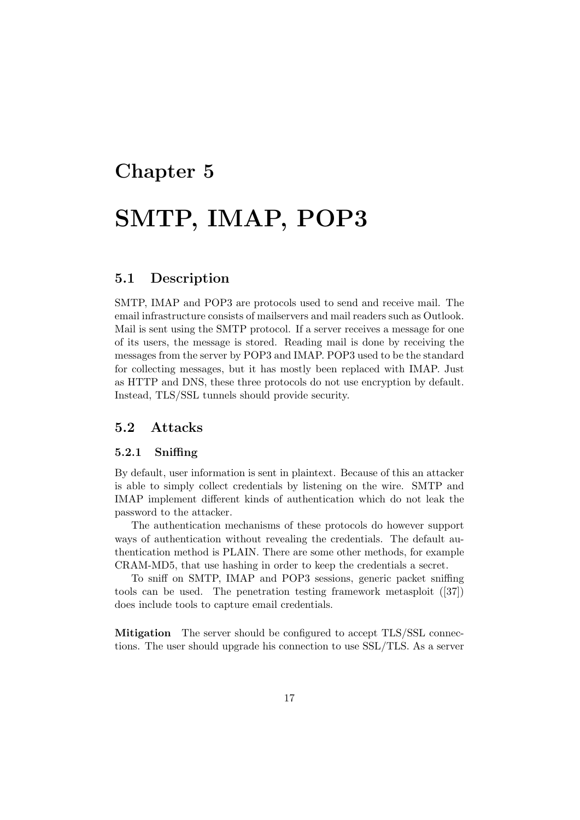# Chapter 5 SMTP, IMAP, POP3

# 5.1 Description

SMTP, IMAP and POP3 are protocols used to send and receive mail. The email infrastructure consists of mailservers and mail readers such as Outlook. Mail is sent using the SMTP protocol. If a server receives a message for one of its users, the message is stored. Reading mail is done by receiving the messages from the server by POP3 and IMAP. POP3 used to be the standard for collecting messages, but it has mostly been replaced with IMAP. Just as HTTP and DNS, these three protocols do not use encryption by default. Instead, TLS/SSL tunnels should provide security.

### 5.2 Attacks

#### 5.2.1 Sniffing

By default, user information is sent in plaintext. Because of this an attacker is able to simply collect credentials by listening on the wire. SMTP and IMAP implement different kinds of authentication which do not leak the password to the attacker.

The authentication mechanisms of these protocols do however support ways of authentication without revealing the credentials. The default authentication method is PLAIN. There are some other methods, for example CRAM-MD5, that use hashing in order to keep the credentials a secret.

To sniff on SMTP, IMAP and POP3 sessions, generic packet sniffing tools can be used. The penetration testing framework metasploit ([37]) does include tools to capture email credentials.

Mitigation The server should be configured to accept TLS/SSL connections. The user should upgrade his connection to use SSL/TLS. As a server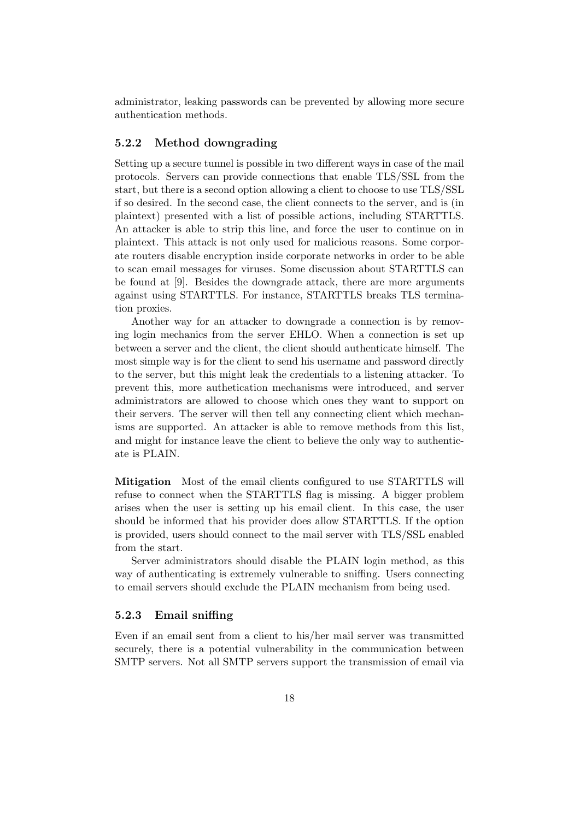administrator, leaking passwords can be prevented by allowing more secure authentication methods.

#### 5.2.2 Method downgrading

Setting up a secure tunnel is possible in two different ways in case of the mail protocols. Servers can provide connections that enable TLS/SSL from the start, but there is a second option allowing a client to choose to use TLS/SSL if so desired. In the second case, the client connects to the server, and is (in plaintext) presented with a list of possible actions, including STARTTLS. An attacker is able to strip this line, and force the user to continue on in plaintext. This attack is not only used for malicious reasons. Some corporate routers disable encryption inside corporate networks in order to be able to scan email messages for viruses. Some discussion about STARTTLS can be found at [9]. Besides the downgrade attack, there are more arguments against using STARTTLS. For instance, STARTTLS breaks TLS termination proxies.

Another way for an attacker to downgrade a connection is by removing login mechanics from the server EHLO. When a connection is set up between a server and the client, the client should authenticate himself. The most simple way is for the client to send his username and password directly to the server, but this might leak the credentials to a listening attacker. To prevent this, more authetication mechanisms were introduced, and server administrators are allowed to choose which ones they want to support on their servers. The server will then tell any connecting client which mechanisms are supported. An attacker is able to remove methods from this list, and might for instance leave the client to believe the only way to authenticate is PLAIN.

Mitigation Most of the email clients configured to use STARTTLS will refuse to connect when the STARTTLS flag is missing. A bigger problem arises when the user is setting up his email client. In this case, the user should be informed that his provider does allow STARTTLS. If the option is provided, users should connect to the mail server with TLS/SSL enabled from the start.

Server administrators should disable the PLAIN login method, as this way of authenticating is extremely vulnerable to sniffing. Users connecting to email servers should exclude the PLAIN mechanism from being used.

#### 5.2.3 Email sniffing

Even if an email sent from a client to his/her mail server was transmitted securely, there is a potential vulnerability in the communication between SMTP servers. Not all SMTP servers support the transmission of email via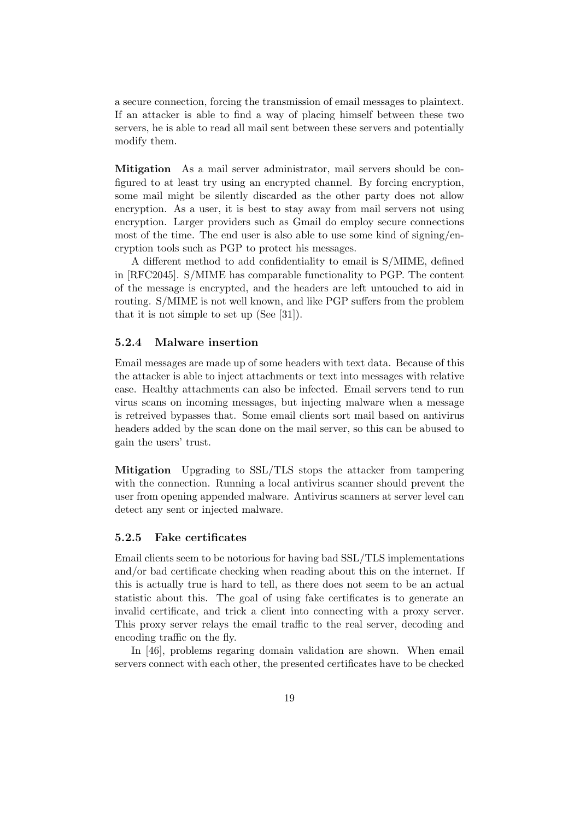a secure connection, forcing the transmission of email messages to plaintext. If an attacker is able to find a way of placing himself between these two servers, he is able to read all mail sent between these servers and potentially modify them.

Mitigation As a mail server administrator, mail servers should be configured to at least try using an encrypted channel. By forcing encryption, some mail might be silently discarded as the other party does not allow encryption. As a user, it is best to stay away from mail servers not using encryption. Larger providers such as Gmail do employ secure connections most of the time. The end user is also able to use some kind of signing/encryption tools such as PGP to protect his messages.

A different method to add confidentiality to email is S/MIME, defined in [RFC2045]. S/MIME has comparable functionality to PGP. The content of the message is encrypted, and the headers are left untouched to aid in routing. S/MIME is not well known, and like PGP suffers from the problem that it is not simple to set up (See [31]).

#### 5.2.4 Malware insertion

Email messages are made up of some headers with text data. Because of this the attacker is able to inject attachments or text into messages with relative ease. Healthy attachments can also be infected. Email servers tend to run virus scans on incoming messages, but injecting malware when a message is retreived bypasses that. Some email clients sort mail based on antivirus headers added by the scan done on the mail server, so this can be abused to gain the users' trust.

Mitigation Upgrading to SSL/TLS stops the attacker from tampering with the connection. Running a local antivirus scanner should prevent the user from opening appended malware. Antivirus scanners at server level can detect any sent or injected malware.

#### 5.2.5 Fake certificates

Email clients seem to be notorious for having bad SSL/TLS implementations and/or bad certificate checking when reading about this on the internet. If this is actually true is hard to tell, as there does not seem to be an actual statistic about this. The goal of using fake certificates is to generate an invalid certificate, and trick a client into connecting with a proxy server. This proxy server relays the email traffic to the real server, decoding and encoding traffic on the fly.

In [46], problems regaring domain validation are shown. When email servers connect with each other, the presented certificates have to be checked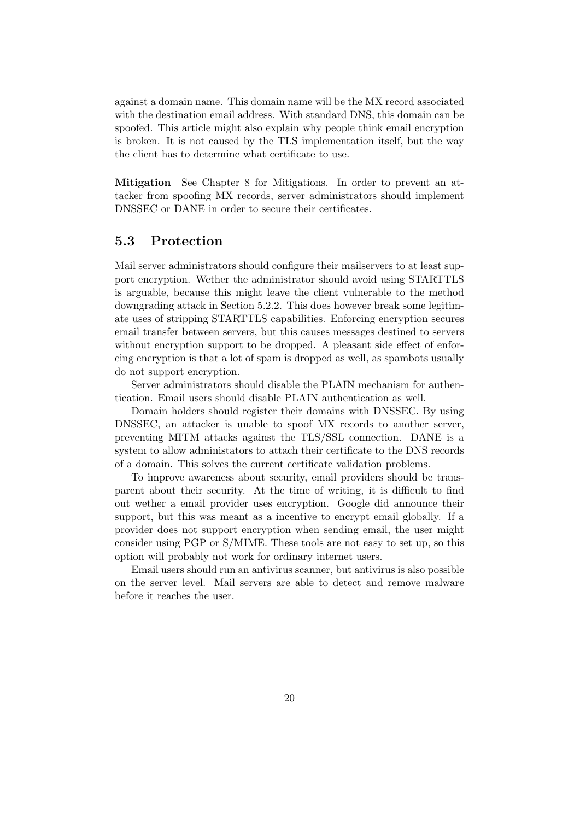against a domain name. This domain name will be the MX record associated with the destination email address. With standard DNS, this domain can be spoofed. This article might also explain why people think email encryption is broken. It is not caused by the TLS implementation itself, but the way the client has to determine what certificate to use.

Mitigation See Chapter 8 for Mitigations. In order to prevent an attacker from spoofing MX records, server administrators should implement DNSSEC or DANE in order to secure their certificates.

## 5.3 Protection

Mail server administrators should configure their mailservers to at least support encryption. Wether the administrator should avoid using STARTTLS is arguable, because this might leave the client vulnerable to the method downgrading attack in Section 5.2.2. This does however break some legitimate uses of stripping STARTTLS capabilities. Enforcing encryption secures email transfer between servers, but this causes messages destined to servers without encryption support to be dropped. A pleasant side effect of enforcing encryption is that a lot of spam is dropped as well, as spambots usually do not support encryption.

Server administrators should disable the PLAIN mechanism for authentication. Email users should disable PLAIN authentication as well.

Domain holders should register their domains with DNSSEC. By using DNSSEC, an attacker is unable to spoof MX records to another server, preventing MITM attacks against the TLS/SSL connection. DANE is a system to allow administators to attach their certificate to the DNS records of a domain. This solves the current certificate validation problems.

To improve awareness about security, email providers should be transparent about their security. At the time of writing, it is difficult to find out wether a email provider uses encryption. Google did announce their support, but this was meant as a incentive to encrypt email globally. If a provider does not support encryption when sending email, the user might consider using PGP or S/MIME. These tools are not easy to set up, so this option will probably not work for ordinary internet users.

Email users should run an antivirus scanner, but antivirus is also possible on the server level. Mail servers are able to detect and remove malware before it reaches the user.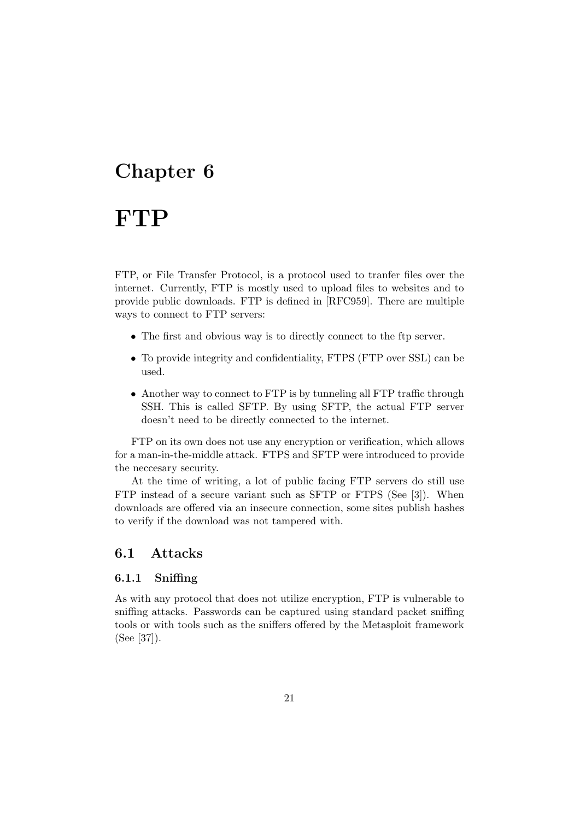# Chapter 6

# **FTP**

FTP, or File Transfer Protocol, is a protocol used to tranfer files over the internet. Currently, FTP is mostly used to upload files to websites and to provide public downloads. FTP is defined in [RFC959]. There are multiple ways to connect to FTP servers:

- The first and obvious way is to directly connect to the ftp server.
- To provide integrity and confidentiality, FTPS (FTP over SSL) can be used.
- Another way to connect to FTP is by tunneling all FTP traffic through SSH. This is called SFTP. By using SFTP, the actual FTP server doesn't need to be directly connected to the internet.

FTP on its own does not use any encryption or verification, which allows for a man-in-the-middle attack. FTPS and SFTP were introduced to provide the neccesary security.

At the time of writing, a lot of public facing FTP servers do still use FTP instead of a secure variant such as SFTP or FTPS (See [3]). When downloads are offered via an insecure connection, some sites publish hashes to verify if the download was not tampered with.

# 6.1 Attacks

#### 6.1.1 Sniffing

As with any protocol that does not utilize encryption, FTP is vulnerable to sniffing attacks. Passwords can be captured using standard packet sniffing tools or with tools such as the sniffers offered by the Metasploit framework (See [37]).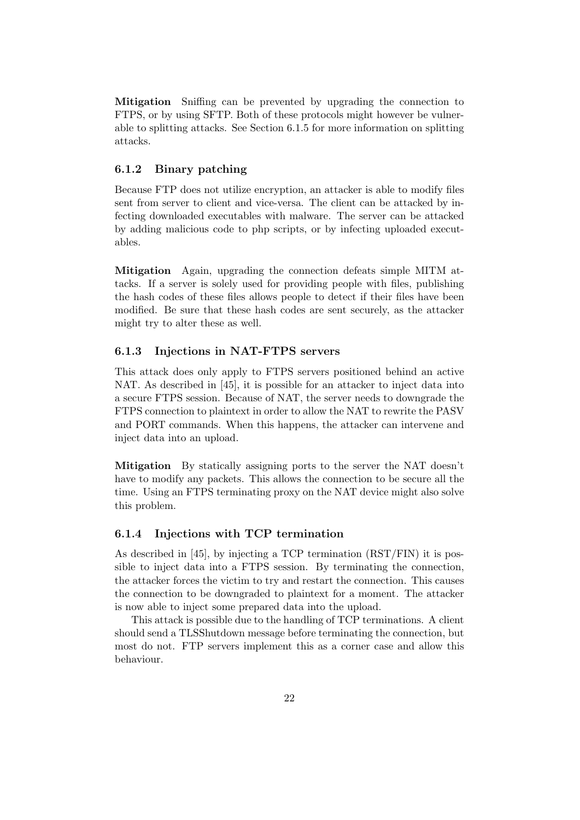Mitigation Sniffing can be prevented by upgrading the connection to FTPS, or by using SFTP. Both of these protocols might however be vulnerable to splitting attacks. See Section 6.1.5 for more information on splitting attacks.

#### 6.1.2 Binary patching

Because FTP does not utilize encryption, an attacker is able to modify files sent from server to client and vice-versa. The client can be attacked by infecting downloaded executables with malware. The server can be attacked by adding malicious code to php scripts, or by infecting uploaded executables.

Mitigation Again, upgrading the connection defeats simple MITM attacks. If a server is solely used for providing people with files, publishing the hash codes of these files allows people to detect if their files have been modified. Be sure that these hash codes are sent securely, as the attacker might try to alter these as well.

#### 6.1.3 Injections in NAT-FTPS servers

This attack does only apply to FTPS servers positioned behind an active NAT. As described in [45], it is possible for an attacker to inject data into a secure FTPS session. Because of NAT, the server needs to downgrade the FTPS connection to plaintext in order to allow the NAT to rewrite the PASV and PORT commands. When this happens, the attacker can intervene and inject data into an upload.

Mitigation By statically assigning ports to the server the NAT doesn't have to modify any packets. This allows the connection to be secure all the time. Using an FTPS terminating proxy on the NAT device might also solve this problem.

#### 6.1.4 Injections with TCP termination

As described in [45], by injecting a TCP termination (RST/FIN) it is possible to inject data into a FTPS session. By terminating the connection, the attacker forces the victim to try and restart the connection. This causes the connection to be downgraded to plaintext for a moment. The attacker is now able to inject some prepared data into the upload.

This attack is possible due to the handling of TCP terminations. A client should send a TLSShutdown message before terminating the connection, but most do not. FTP servers implement this as a corner case and allow this behaviour.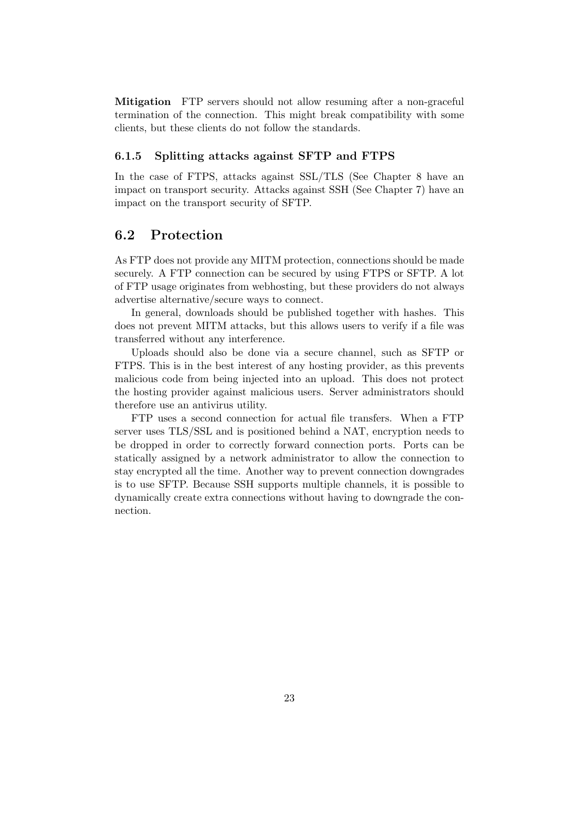Mitigation FTP servers should not allow resuming after a non-graceful termination of the connection. This might break compatibility with some clients, but these clients do not follow the standards.

#### 6.1.5 Splitting attacks against SFTP and FTPS

In the case of FTPS, attacks against SSL/TLS (See Chapter 8 have an impact on transport security. Attacks against SSH (See Chapter 7) have an impact on the transport security of SFTP.

### 6.2 Protection

As FTP does not provide any MITM protection, connections should be made securely. A FTP connection can be secured by using FTPS or SFTP. A lot of FTP usage originates from webhosting, but these providers do not always advertise alternative/secure ways to connect.

In general, downloads should be published together with hashes. This does not prevent MITM attacks, but this allows users to verify if a file was transferred without any interference.

Uploads should also be done via a secure channel, such as SFTP or FTPS. This is in the best interest of any hosting provider, as this prevents malicious code from being injected into an upload. This does not protect the hosting provider against malicious users. Server administrators should therefore use an antivirus utility.

FTP uses a second connection for actual file transfers. When a FTP server uses TLS/SSL and is positioned behind a NAT, encryption needs to be dropped in order to correctly forward connection ports. Ports can be statically assigned by a network administrator to allow the connection to stay encrypted all the time. Another way to prevent connection downgrades is to use SFTP. Because SSH supports multiple channels, it is possible to dynamically create extra connections without having to downgrade the connection.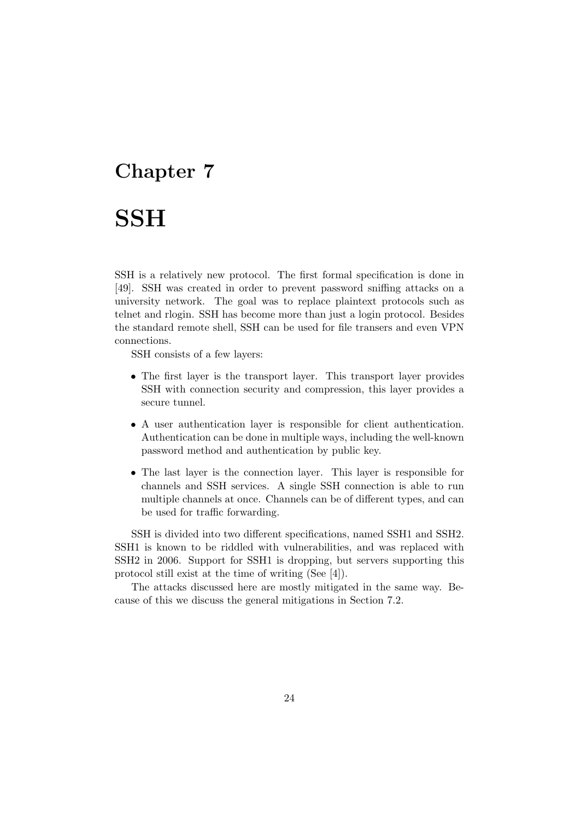# Chapter 7

# **SSH**

SSH is a relatively new protocol. The first formal specification is done in [49]. SSH was created in order to prevent password sniffing attacks on a university network. The goal was to replace plaintext protocols such as telnet and rlogin. SSH has become more than just a login protocol. Besides the standard remote shell, SSH can be used for file transers and even VPN connections.

SSH consists of a few layers:

- The first layer is the transport layer. This transport layer provides SSH with connection security and compression, this layer provides a secure tunnel.
- A user authentication layer is responsible for client authentication. Authentication can be done in multiple ways, including the well-known password method and authentication by public key.
- The last layer is the connection layer. This layer is responsible for channels and SSH services. A single SSH connection is able to run multiple channels at once. Channels can be of different types, and can be used for traffic forwarding.

SSH is divided into two different specifications, named SSH1 and SSH2. SSH1 is known to be riddled with vulnerabilities, and was replaced with SSH2 in 2006. Support for SSH1 is dropping, but servers supporting this protocol still exist at the time of writing (See [4]).

The attacks discussed here are mostly mitigated in the same way. Because of this we discuss the general mitigations in Section 7.2.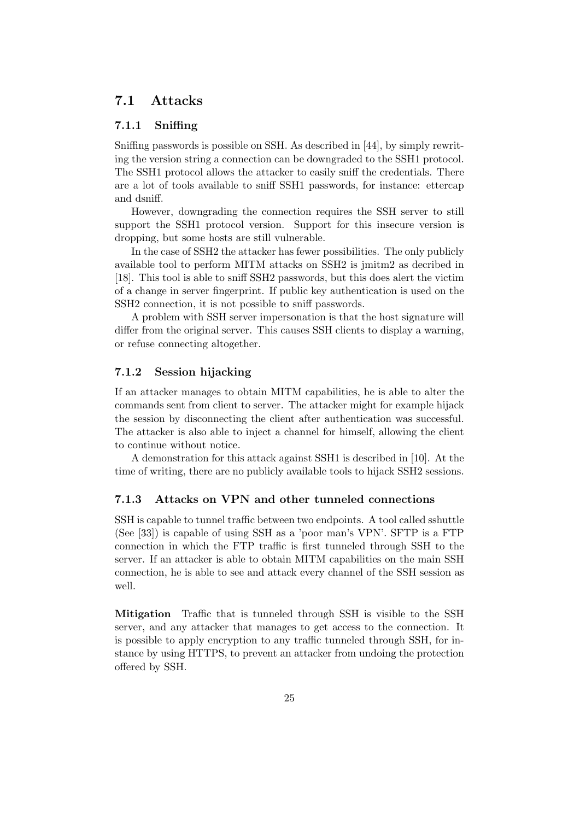## 7.1 Attacks

#### 7.1.1 Sniffing

Sniffing passwords is possible on SSH. As described in [44], by simply rewriting the version string a connection can be downgraded to the SSH1 protocol. The SSH1 protocol allows the attacker to easily sniff the credentials. There are a lot of tools available to sniff SSH1 passwords, for instance: ettercap and dsniff.

However, downgrading the connection requires the SSH server to still support the SSH1 protocol version. Support for this insecure version is dropping, but some hosts are still vulnerable.

In the case of SSH2 the attacker has fewer possibilities. The only publicly available tool to perform MITM attacks on SSH2 is jmitm2 as decribed in [18]. This tool is able to sniff SSH2 passwords, but this does alert the victim of a change in server fingerprint. If public key authentication is used on the SSH2 connection, it is not possible to sniff passwords.

A problem with SSH server impersonation is that the host signature will differ from the original server. This causes SSH clients to display a warning, or refuse connecting altogether.

#### 7.1.2 Session hijacking

If an attacker manages to obtain MITM capabilities, he is able to alter the commands sent from client to server. The attacker might for example hijack the session by disconnecting the client after authentication was successful. The attacker is also able to inject a channel for himself, allowing the client to continue without notice.

A demonstration for this attack against SSH1 is described in [10]. At the time of writing, there are no publicly available tools to hijack SSH2 sessions.

#### 7.1.3 Attacks on VPN and other tunneled connections

SSH is capable to tunnel traffic between two endpoints. A tool called sshuttle (See [33]) is capable of using SSH as a 'poor man's VPN'. SFTP is a FTP connection in which the FTP traffic is first tunneled through SSH to the server. If an attacker is able to obtain MITM capabilities on the main SSH connection, he is able to see and attack every channel of the SSH session as well.

Mitigation Traffic that is tunneled through SSH is visible to the SSH server, and any attacker that manages to get access to the connection. It is possible to apply encryption to any traffic tunneled through SSH, for instance by using HTTPS, to prevent an attacker from undoing the protection offered by SSH.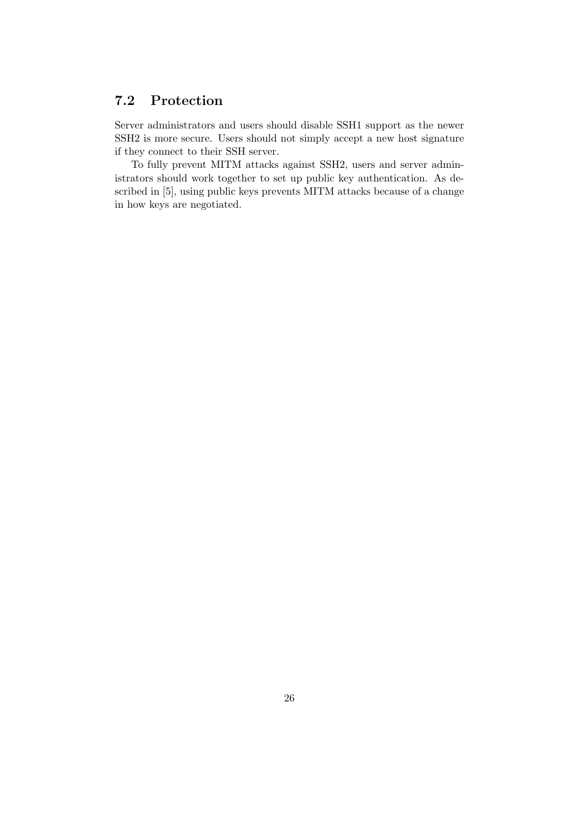# 7.2 Protection

Server administrators and users should disable SSH1 support as the newer SSH2 is more secure. Users should not simply accept a new host signature if they connect to their SSH server.

To fully prevent MITM attacks against SSH2, users and server administrators should work together to set up public key authentication. As described in [5], using public keys prevents MITM attacks because of a change in how keys are negotiated.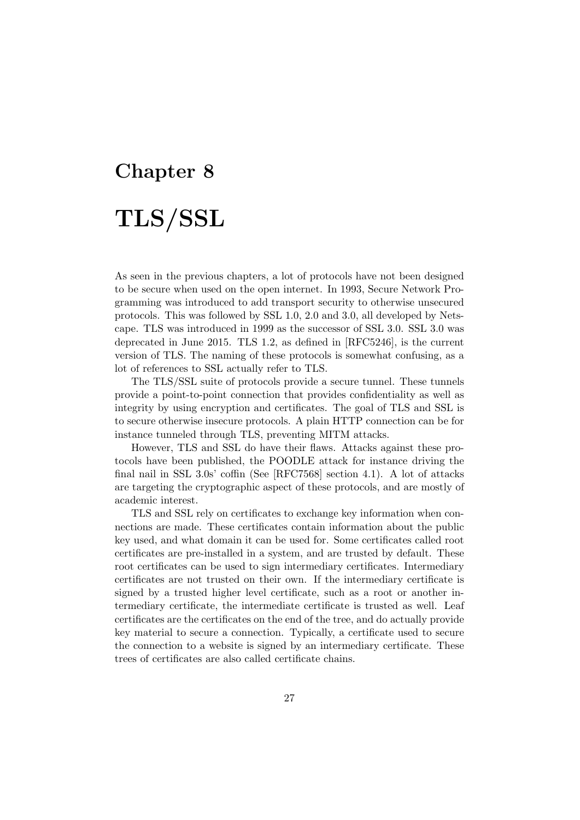# Chapter 8 TLS/SSL

As seen in the previous chapters, a lot of protocols have not been designed to be secure when used on the open internet. In 1993, Secure Network Programming was introduced to add transport security to otherwise unsecured protocols. This was followed by SSL 1.0, 2.0 and 3.0, all developed by Netscape. TLS was introduced in 1999 as the successor of SSL 3.0. SSL 3.0 was deprecated in June 2015. TLS 1.2, as defined in [RFC5246], is the current version of TLS. The naming of these protocols is somewhat confusing, as a lot of references to SSL actually refer to TLS.

The TLS/SSL suite of protocols provide a secure tunnel. These tunnels provide a point-to-point connection that provides confidentiality as well as integrity by using encryption and certificates. The goal of TLS and SSL is to secure otherwise insecure protocols. A plain HTTP connection can be for instance tunneled through TLS, preventing MITM attacks.

However, TLS and SSL do have their flaws. Attacks against these protocols have been published, the POODLE attack for instance driving the final nail in SSL 3.0s' coffin (See [RFC7568] section 4.1). A lot of attacks are targeting the cryptographic aspect of these protocols, and are mostly of academic interest.

TLS and SSL rely on certificates to exchange key information when connections are made. These certificates contain information about the public key used, and what domain it can be used for. Some certificates called root certificates are pre-installed in a system, and are trusted by default. These root certificates can be used to sign intermediary certificates. Intermediary certificates are not trusted on their own. If the intermediary certificate is signed by a trusted higher level certificate, such as a root or another intermediary certificate, the intermediate certificate is trusted as well. Leaf certificates are the certificates on the end of the tree, and do actually provide key material to secure a connection. Typically, a certificate used to secure the connection to a website is signed by an intermediary certificate. These trees of certificates are also called certificate chains.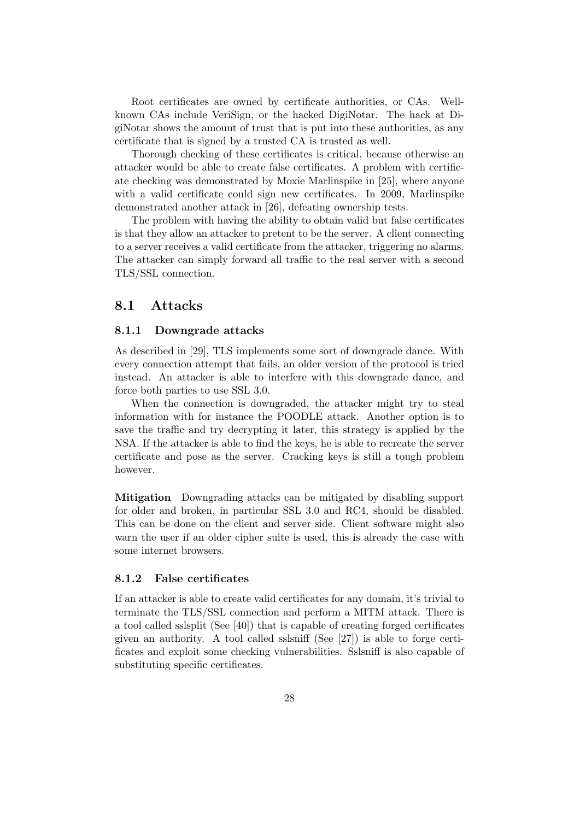Root certificates are owned by certificate authorities, or CAs. Wellknown CAs include VeriSign, or the hacked DigiNotar. The hack at DigiNotar shows the amount of trust that is put into these authorities, as any certificate that is signed by a trusted CA is trusted as well.

Thorough checking of these certificates is critical, because otherwise an attacker would be able to create false certificates. A problem with certificate checking was demonstrated by Moxie Marlinspike in [25], where anyone with a valid certificate could sign new certificates. In 2009, Marlinspike demonstrated another attack in [26], defeating ownership tests.

The problem with having the ability to obtain valid but false certificates is that they allow an attacker to pretent to be the server. A client connecting to a server receives a valid certificate from the attacker, triggering no alarms. The attacker can simply forward all traffic to the real server with a second TLS/SSL connection.

### 8.1 Attacks

#### 8.1.1 Downgrade attacks

As described in [29], TLS implements some sort of downgrade dance. With every connection attempt that fails, an older version of the protocol is tried instead. An attacker is able to interfere with this downgrade dance, and force both parties to use SSL 3.0.

When the connection is downgraded, the attacker might try to steal information with for instance the POODLE attack. Another option is to save the traffic and try decrypting it later, this strategy is applied by the NSA. If the attacker is able to find the keys, he is able to recreate the server certificate and pose as the server. Cracking keys is still a tough problem however.

Mitigation Downgrading attacks can be mitigated by disabling support for older and broken, in particular SSL 3.0 and RC4, should be disabled. This can be done on the client and server side. Client software might also warn the user if an older cipher suite is used, this is already the case with some internet browsers.

#### 8.1.2 False certificates

If an attacker is able to create valid certificates for any domain, it's trivial to terminate the TLS/SSL connection and perform a MITM attack. There is a tool called sslsplit (See [40]) that is capable of creating forged certificates given an authority. A tool called sslsniff (See [27]) is able to forge certificates and exploit some checking vulnerabilities. Sslsniff is also capable of substituting specific certificates.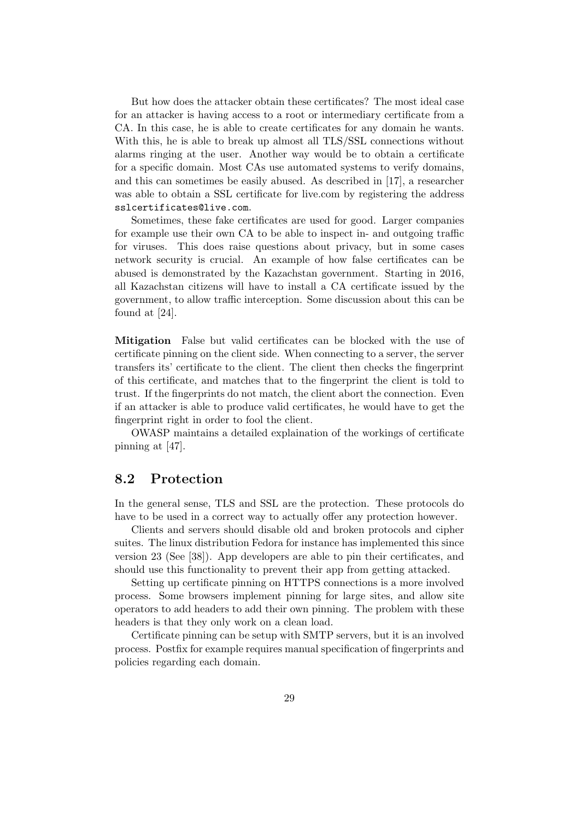But how does the attacker obtain these certificates? The most ideal case for an attacker is having access to a root or intermediary certificate from a CA. In this case, he is able to create certificates for any domain he wants. With this, he is able to break up almost all TLS/SSL connections without alarms ringing at the user. Another way would be to obtain a certificate for a specific domain. Most CAs use automated systems to verify domains, and this can sometimes be easily abused. As described in [17], a researcher was able to obtain a SSL certificate for live.com by registering the address sslcertificates@live.com.

Sometimes, these fake certificates are used for good. Larger companies for example use their own CA to be able to inspect in- and outgoing traffic for viruses. This does raise questions about privacy, but in some cases network security is crucial. An example of how false certificates can be abused is demonstrated by the Kazachstan government. Starting in 2016, all Kazachstan citizens will have to install a CA certificate issued by the government, to allow traffic interception. Some discussion about this can be found at [24].

Mitigation False but valid certificates can be blocked with the use of certificate pinning on the client side. When connecting to a server, the server transfers its' certificate to the client. The client then checks the fingerprint of this certificate, and matches that to the fingerprint the client is told to trust. If the fingerprints do not match, the client abort the connection. Even if an attacker is able to produce valid certificates, he would have to get the fingerprint right in order to fool the client.

OWASP maintains a detailed explaination of the workings of certificate pinning at [47].

### 8.2 Protection

In the general sense, TLS and SSL are the protection. These protocols do have to be used in a correct way to actually offer any protection however.

Clients and servers should disable old and broken protocols and cipher suites. The linux distribution Fedora for instance has implemented this since version 23 (See [38]). App developers are able to pin their certificates, and should use this functionality to prevent their app from getting attacked.

Setting up certificate pinning on HTTPS connections is a more involved process. Some browsers implement pinning for large sites, and allow site operators to add headers to add their own pinning. The problem with these headers is that they only work on a clean load.

Certificate pinning can be setup with SMTP servers, but it is an involved process. Postfix for example requires manual specification of fingerprints and policies regarding each domain.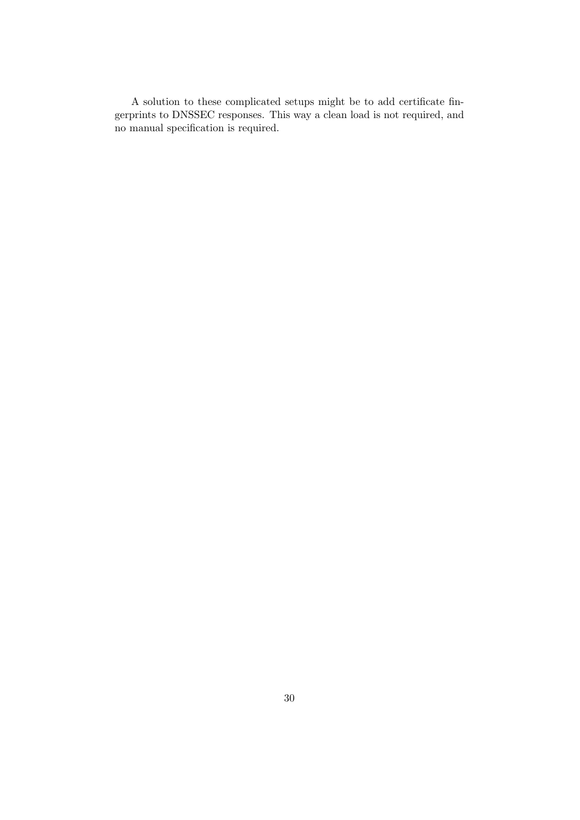A solution to these complicated setups might be to add certificate fingerprints to DNSSEC responses. This way a clean load is not required, and no manual specification is required.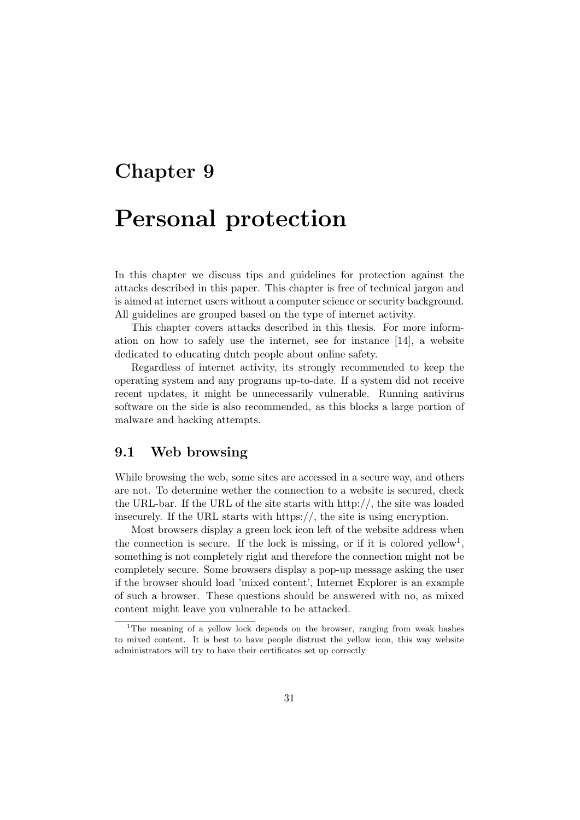# Chapter 9

# Personal protection

In this chapter we discuss tips and guidelines for protection against the attacks described in this paper. This chapter is free of technical jargon and is aimed at internet users without a computer science or security background. All guidelines are grouped based on the type of internet activity.

This chapter covers attacks described in this thesis. For more information on how to safely use the internet, see for instance [14], a website dedicated to educating dutch people about online safety.

Regardless of internet activity, its strongly recommended to keep the operating system and any programs up-to-date. If a system did not receive recent updates, it might be unnecessarily vulnerable. Running antivirus software on the side is also recommended, as this blocks a large portion of malware and hacking attempts.

### 9.1 Web browsing

While browsing the web, some sites are accessed in a secure way, and others are not. To determine wether the connection to a website is secured, check the URL-bar. If the URL of the site starts with http://, the site was loaded insecurely. If the URL starts with https://, the site is using encryption.

Most browsers display a green lock icon left of the website address when the connection is secure. If the lock is missing, or if it is colored yellow<sup>1</sup>, something is not completely right and therefore the connection might not be completely secure. Some browsers display a pop-up message asking the user if the browser should load 'mixed content', Internet Explorer is an example of such a browser. These questions should be answered with no, as mixed content might leave you vulnerable to be attacked.

<sup>&</sup>lt;sup>1</sup>The meaning of a yellow lock depends on the browser, ranging from weak hashes to mixed content. It is best to have people distrust the yellow icon, this way website administrators will try to have their certificates set up correctly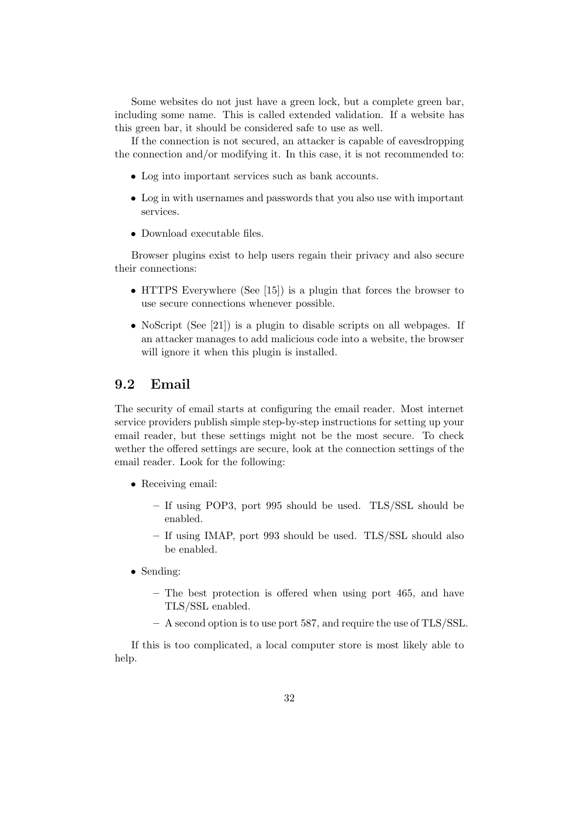Some websites do not just have a green lock, but a complete green bar, including some name. This is called extended validation. If a website has this green bar, it should be considered safe to use as well.

If the connection is not secured, an attacker is capable of eavesdropping the connection and/or modifying it. In this case, it is not recommended to:

- Log into important services such as bank accounts.
- Log in with usernames and passwords that you also use with important services.
- Download executable files.

Browser plugins exist to help users regain their privacy and also secure their connections:

- HTTPS Everywhere (See [15]) is a plugin that forces the browser to use secure connections whenever possible.
- NoScript (See [21]) is a plugin to disable scripts on all webpages. If an attacker manages to add malicious code into a website, the browser will ignore it when this plugin is installed.

# 9.2 Email

The security of email starts at configuring the email reader. Most internet service providers publish simple step-by-step instructions for setting up your email reader, but these settings might not be the most secure. To check wether the offered settings are secure, look at the connection settings of the email reader. Look for the following:

- Receiving email:
	- If using POP3, port 995 should be used. TLS/SSL should be enabled.
	- If using IMAP, port 993 should be used. TLS/SSL should also be enabled.
- Sending:
	- The best protection is offered when using port 465, and have TLS/SSL enabled.
	- A second option is to use port 587, and require the use of TLS/SSL.

If this is too complicated, a local computer store is most likely able to help.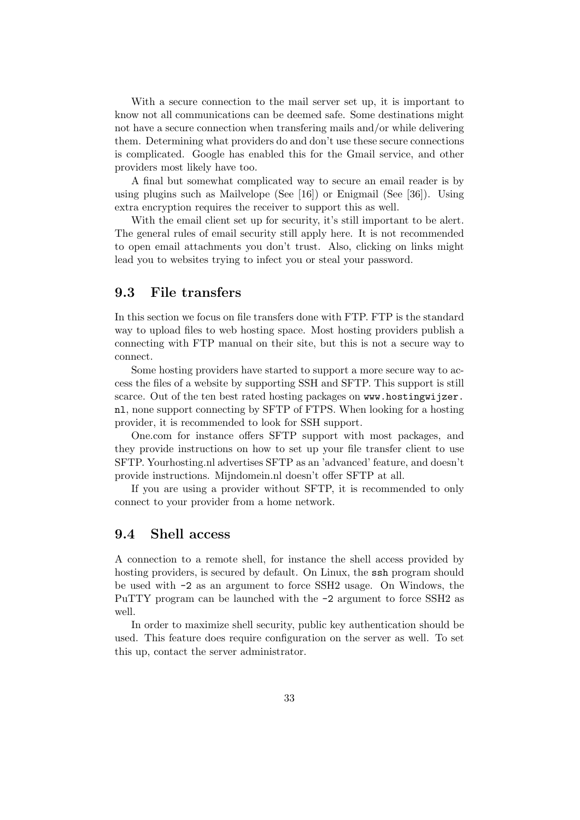With a secure connection to the mail server set up, it is important to know not all communications can be deemed safe. Some destinations might not have a secure connection when transfering mails and/or while delivering them. Determining what providers do and don't use these secure connections is complicated. Google has enabled this for the Gmail service, and other providers most likely have too.

A final but somewhat complicated way to secure an email reader is by using plugins such as Mailvelope (See [16]) or Enigmail (See [36]). Using extra encryption requires the receiver to support this as well.

With the email client set up for security, it's still important to be alert. The general rules of email security still apply here. It is not recommended to open email attachments you don't trust. Also, clicking on links might lead you to websites trying to infect you or steal your password.

# 9.3 File transfers

In this section we focus on file transfers done with FTP. FTP is the standard way to upload files to web hosting space. Most hosting providers publish a connecting with FTP manual on their site, but this is not a secure way to connect.

Some hosting providers have started to support a more secure way to access the files of a website by supporting SSH and SFTP. This support is still scarce. Out of the ten best rated hosting packages on www.hostingwijzer. nl, none support connecting by SFTP of FTPS. When looking for a hosting provider, it is recommended to look for SSH support.

One.com for instance offers SFTP support with most packages, and they provide instructions on how to set up your file transfer client to use SFTP. Yourhosting.nl advertises SFTP as an 'advanced' feature, and doesn't provide instructions. Mijndomein.nl doesn't offer SFTP at all.

If you are using a provider without SFTP, it is recommended to only connect to your provider from a home network.

### 9.4 Shell access

A connection to a remote shell, for instance the shell access provided by hosting providers, is secured by default. On Linux, the ssh program should be used with -2 as an argument to force SSH2 usage. On Windows, the PuTTY program can be launched with the -2 argument to force SSH2 as well.

In order to maximize shell security, public key authentication should be used. This feature does require configuration on the server as well. To set this up, contact the server administrator.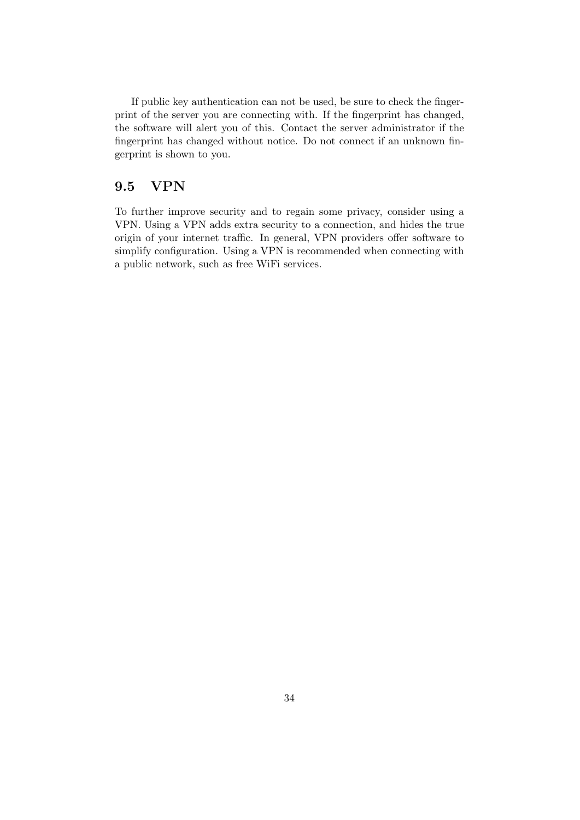If public key authentication can not be used, be sure to check the fingerprint of the server you are connecting with. If the fingerprint has changed, the software will alert you of this. Contact the server administrator if the fingerprint has changed without notice. Do not connect if an unknown fingerprint is shown to you.

## 9.5 VPN

To further improve security and to regain some privacy, consider using a VPN. Using a VPN adds extra security to a connection, and hides the true origin of your internet traffic. In general, VPN providers offer software to simplify configuration. Using a VPN is recommended when connecting with a public network, such as free WiFi services.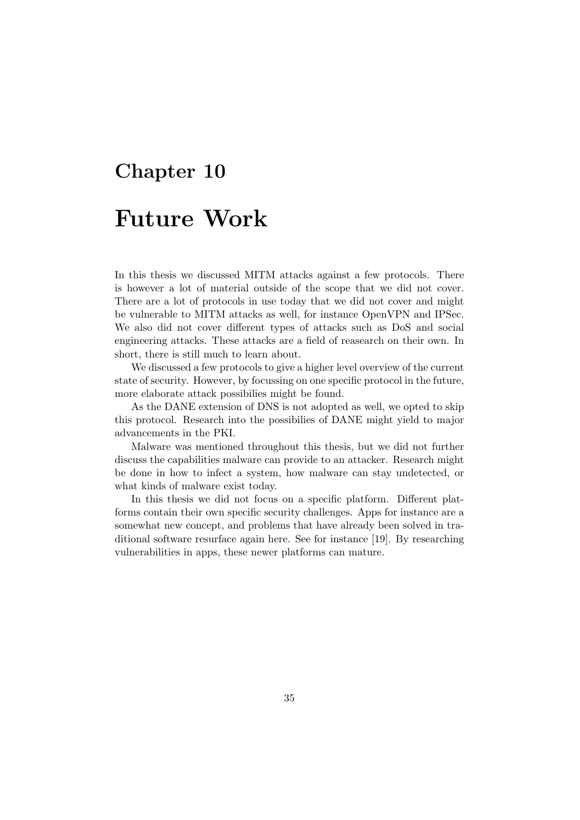# Chapter 10 Future Work

In this thesis we discussed MITM attacks against a few protocols. There is however a lot of material outside of the scope that we did not cover. There are a lot of protocols in use today that we did not cover and might be vulnerable to MITM attacks as well, for instance OpenVPN and IPSec. We also did not cover different types of attacks such as DoS and social engineering attacks. These attacks are a field of reasearch on their own. In short, there is still much to learn about.

We discussed a few protocols to give a higher level overview of the current state of security. However, by focussing on one specific protocol in the future, more elaborate attack possibilies might be found.

As the DANE extension of DNS is not adopted as well, we opted to skip this protocol. Research into the possibilies of DANE might yield to major advancements in the PKI.

Malware was mentioned throughout this thesis, but we did not further discuss the capabilities malware can provide to an attacker. Research might be done in how to infect a system, how malware can stay undetected, or what kinds of malware exist today.

In this thesis we did not focus on a specific platform. Different platforms contain their own specific security challenges. Apps for instance are a somewhat new concept, and problems that have already been solved in traditional software resurface again here. See for instance [19]. By researching vulnerabilities in apps, these newer platforms can mature.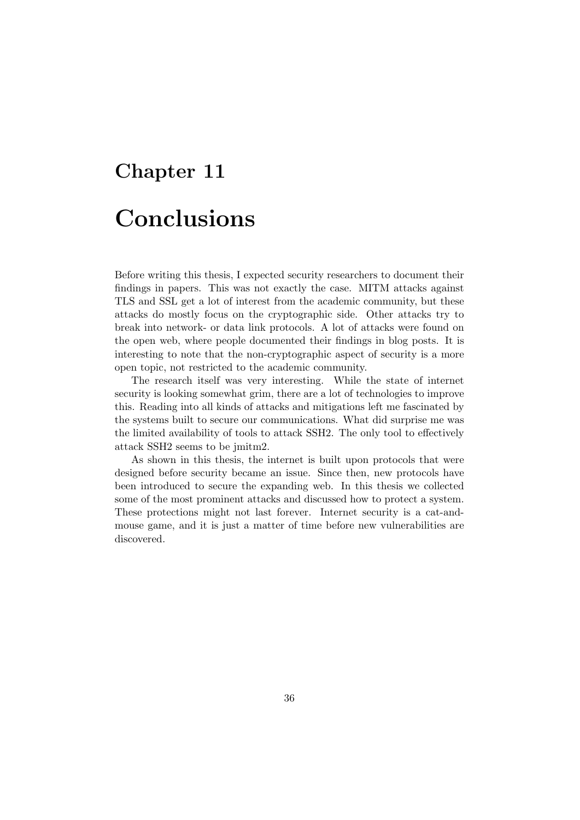# Chapter 11 Conclusions

Before writing this thesis, I expected security researchers to document their findings in papers. This was not exactly the case. MITM attacks against TLS and SSL get a lot of interest from the academic community, but these attacks do mostly focus on the cryptographic side. Other attacks try to break into network- or data link protocols. A lot of attacks were found on the open web, where people documented their findings in blog posts. It is interesting to note that the non-cryptographic aspect of security is a more open topic, not restricted to the academic community.

The research itself was very interesting. While the state of internet security is looking somewhat grim, there are a lot of technologies to improve this. Reading into all kinds of attacks and mitigations left me fascinated by the systems built to secure our communications. What did surprise me was the limited availability of tools to attack SSH2. The only tool to effectively attack SSH2 seems to be jmitm2.

As shown in this thesis, the internet is built upon protocols that were designed before security became an issue. Since then, new protocols have been introduced to secure the expanding web. In this thesis we collected some of the most prominent attacks and discussed how to protect a system. These protections might not last forever. Internet security is a cat-andmouse game, and it is just a matter of time before new vulnerabilities are discovered.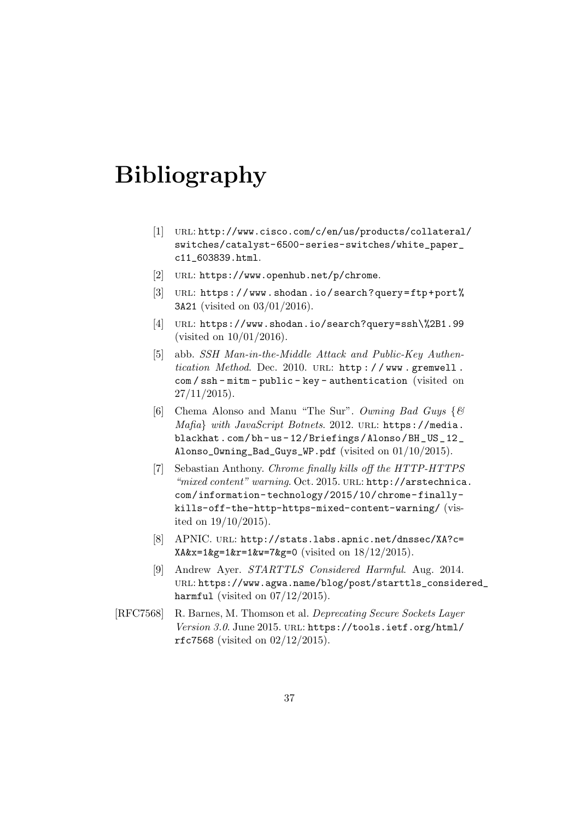# Bibliography

- [1] URL: http://www.cisco.com/c/en/us/products/collateral/ switches/catalyst-6500-series-switches/white\_paper\_ c11\_603839.html.
- [2] URL: https://www.openhub.net/p/chrome.
- [3] URL: https://www.shodan.io/search?query=ftp+port% 3A21 (visited on 03/01/2016).
- [4] url: https://www.shodan.io/search?query=ssh\%2B1.99 (visited on 10/01/2016).
- [5] abb. SSH Man-in-the-Middle Attack and Public-Key Authentication Method. Dec. 2010. URL: http://www.gremwell. com / ssh - mitm - public - key - authentication (visited on  $27/11/2015$ ).
- [6] Chema Alonso and Manu "The Sur". Owning Bad Guys {& Mafia} with JavaScript Botnets. 2012. URL: https://media. blackhat.com/bh- us- 12/Briefings/Alonso/BH\_US\_12\_ Alonso\_Owning\_Bad\_Guys\_WP.pdf (visited on 01/10/2015).
- [7] Sebastian Anthony. Chrome finally kills off the HTTP-HTTPS "mixed content" warning. Oct. 2015. URL: http://arstechnica. com/information- technology/2015/10/chrome- finallykills-off-the-http-https-mixed-content-warning/ (visited on 19/10/2015).
- [8] APNIC. URL: http://stats.labs.apnic.net/dnssec/XA?c= XA&x=1&g=1&r=1&w=7&g=0 (visited on 18/12/2015).
- [9] Andrew Ayer. STARTTLS Considered Harmful. Aug. 2014. url: https://www.agwa.name/blog/post/starttls\_considered\_ harmful (visited on  $07/12/2015$ ).
- [RFC7568] R. Barnes, M. Thomson et al. Deprecating Secure Sockets Layer Version 3.0. June 2015. URL: https://tools.ietf.org/html/ rfc7568 (visited on 02/12/2015).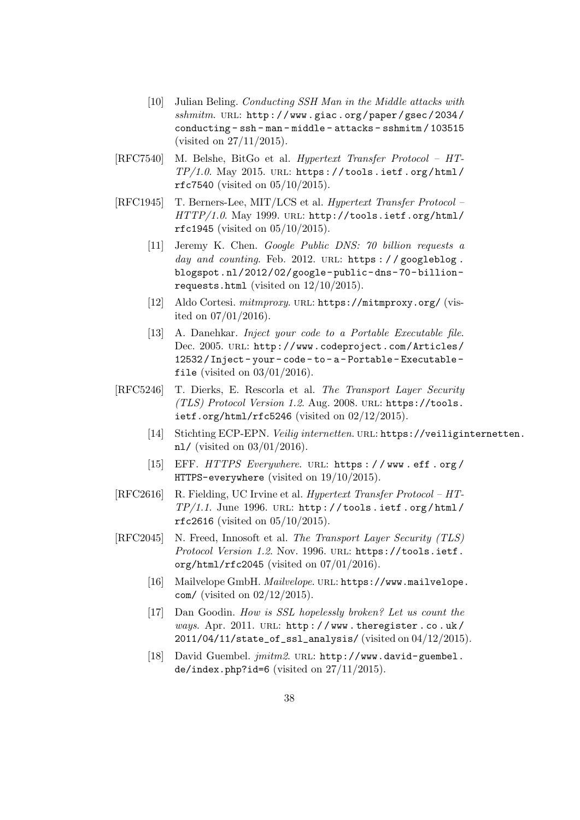- [10] Julian Beling. Conducting SSH Man in the Middle attacks with  $\textit{shmitm}.$  URL: http://www.giac.org/paper/gsec/2034/ conducting - ssh - man - middle - attacks - sshmitm / 103515 (visited on 27/11/2015).
- [RFC7540] M. Belshe, BitGo et al. Hypertext Transfer Protocol HT- $TP/1.0.$  May 2015. URL: https://tools.ietf.org/html/ rfc7540 (visited on 05/10/2015).
- [RFC1945] T. Berners-Lee, MIT/LCS et al. Hypertext Transfer Protocol HTTP/1.0. May 1999. URL: http://tools.ietf.org/html/ rfc1945 (visited on 05/10/2015).
	- [11] Jeremy K. Chen. Google Public DNS: 70 billion requests a day and counting. Feb. 2012. URL: https://googleblog. blogspot.nl/2012/02/google- public- dns- 70- billionrequests.html (visited on 12/10/2015).
	- [12] Aldo Cortesi. mitmproxy. URL: https://mitmproxy.org/ (visited on 07/01/2016).
	- [13] A. Danehkar. *Inject your code to a Portable Executable file*. Dec. 2005. URL: http://www.codeproject.com/Articles/ 12532 / Inject - your - code - to - a - Portable - Executable file (visited on  $03/01/2016$ ).
- [RFC5246] T. Dierks, E. Rescorla et al. The Transport Layer Security (TLS) Protocol Version 1.2. Aug. 2008. url: https://tools. ietf.org/html/rfc5246 (visited on  $02/12/2015$ ).
	- [14] Stichting ECP-EPN. Veilig internetten. URL: https://veiliginternetten. nl/ (visited on 03/01/2016).
	- [15] EFF. HTTPS Everywhere. URL: https://www.eff.org/ HTTPS-everywhere (visited on 19/10/2015).
- [RFC2616] R. Fielding, UC Irvine et al. Hypertext Transfer Protocol HT- $TP/1.1.$  June 1996. URL: http://tools.ietf.org/html/ rfc2616 (visited on 05/10/2015).
- [RFC2045] N. Freed, Innosoft et al. The Transport Layer Security (TLS) Protocol Version 1.2. Nov. 1996. URL: https://tools.ietf. org/html/rfc2045 (visited on 07/01/2016).
	- [16] Mailvelope GmbH. Mailvelope. URL: https://www.mailvelope. com/ (visited on 02/12/2015).
	- [17] Dan Goodin. How is SSL hopelessly broken? Let us count the ways. Apr. 2011. URL: http://www.theregister.co.uk/ 2011/04/11/state\_of\_ssl\_analysis/ (visited on 04/12/2015).
	- [18] David Guembel.  $\text{imitm2. URL: http://www.david-guembel.}$ de/index.php?id=6 (visited on  $27/11/2015$ ).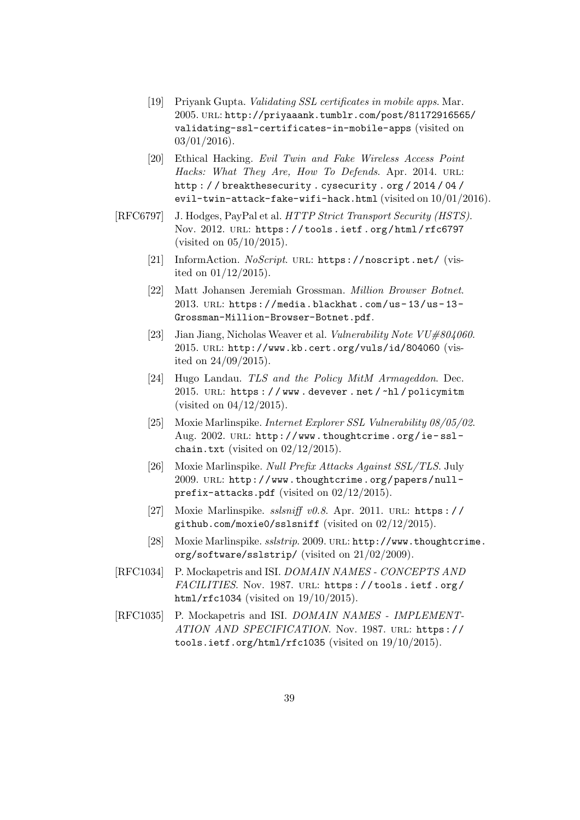- [19] Priyank Gupta. *Validating SSL certificates in mobile apps.* Mar. 2005. url: http://priyaaank.tumblr.com/post/81172916565/ validating-ssl-certificates-in-mobile-apps (visited on  $03/01/2016$ ).
- [20] Ethical Hacking. Evil Twin and Fake Wireless Access Point Hacks: What They Are, How To Defends. Apr. 2014. URL: http : / / breakthesecurity . cysecurity . org / 2014 / 04 / evil-twin-attack-fake-wifi-hack.html (visited on 10/01/2016).
- [RFC6797] J. Hodges, PayPal et al. HTTP Strict Transport Security (HSTS). Nov. 2012. URL: https://tools.ietf.org/html/rfc6797 (visited on 05/10/2015).
	- [21] InformAction. NoScript. URL: https://noscript.net/ (visited on 01/12/2015).
	- [22] Matt Johansen Jeremiah Grossman. Million Browser Botnet. 2013. url: https://media.blackhat.com/us- 13/us- 13- Grossman-Million-Browser-Botnet.pdf.
	- [23] Jian Jiang, Nicholas Weaver et al. Vulnerability Note  $VU#804060$ . 2015. url: http://www.kb.cert.org/vuls/id/804060 (visited on 24/09/2015).
	- [24] Hugo Landau. TLS and the Policy MitM Armageddon. Dec. 2015. URL: https://www.devever.net/~hl/policymitm (visited on 04/12/2015).
	- [25] Moxie Marlinspike. Internet Explorer SSL Vulnerability 08/05/02. Aug. 2002. url: http://www.thoughtcrime.org/ie- sslchain.txt (visited on  $02/12/2015$ ).
	- [26] Moxie Marlinspike. Null Prefix Attacks Against SSL/TLS. July 2009. url: http://www.thoughtcrime.org/papers/nullprefix-attacks.pdf (visited on 02/12/2015).
	- [27] Moxie Marlinspike.  $sslsniff$  v0.8. Apr. 2011. URL: https:// github.com/moxie0/sslsniff (visited on 02/12/2015).
	- [28] Moxie Marlinspike. sslstrip. 2009. url: http://www.thoughtcrime. org/software/sslstrip/ (visited on 21/02/2009).
- [RFC1034] P. Mockapetris and ISI. DOMAIN NAMES CONCEPTS AND FACILITIES. Nov. 1987. URL: https://tools.ietf.org/ html/rfc1034 (visited on  $19/10/2015$ ).
- [RFC1035] P. Mockapetris and ISI. DOMAIN NAMES IMPLEMENT-ATION AND SPECIFICATION. Nov. 1987. url: https:// tools.ietf.org/html/rfc1035 (visited on 19/10/2015).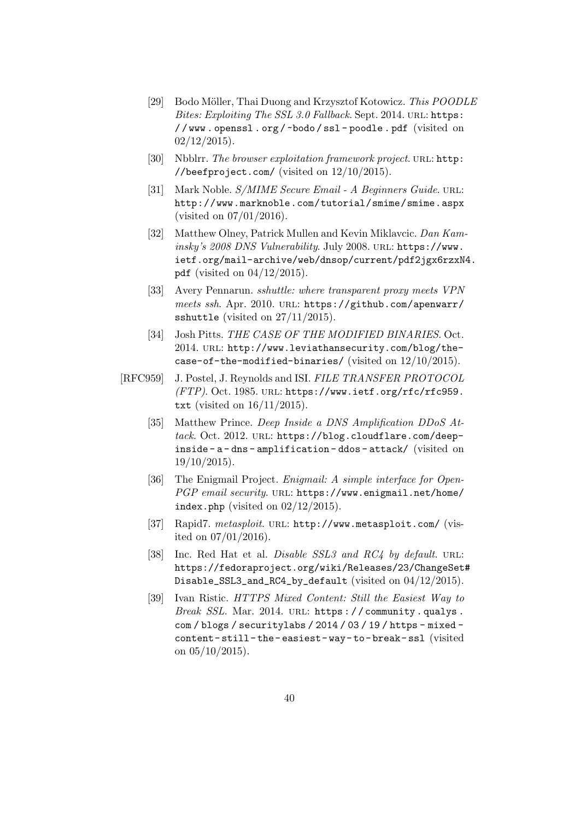- [29] Bodo Möller, Thai Duong and Krzysztof Kotowicz. This POODLE Bites: Exploiting The SSL 3.0 Fallback. Sept. 2014. URL: https: / / www . openssl . org / ~bodo / ssl - poodle . pdf (visited on  $02/12/2015$ .
- [30] Nbblrr. The browser exploitation framework project. URL: http: //beefproject.com/ (visited on  $12/10/2015$ ).
- [31] Mark Noble. S/MIME Secure Email A Beginners Guide. URL: http://www.marknoble.com/tutorial/smime/smime.aspx (visited on 07/01/2016).
- [32] Matthew Olney, Patrick Mullen and Kevin Miklavcic. Dan Kaminsky's 2008 DNS Vulnerability. July 2008. URL: https://www. ietf.org/mail-archive/web/dnsop/current/pdf2jgx6rzxN4. pdf (visited on  $04/12/2015$ ).
- [33] Avery Pennarun. sshuttle: where transparent proxy meets VPN meets ssh. Apr. 2010. URL: https://github.com/apenwarr/ sshuttle (visited on 27/11/2015).
- [34] Josh Pitts. THE CASE OF THE MODIFIED BINARIES. Oct. 2014. url: http://www.leviathansecurity.com/blog/thecase-of-the-modified-binaries/ (visited on 12/10/2015).
- [RFC959] J. Postel, J. Reynolds and ISI. FILE TRANSFER PROTOCOL (FTP). Oct. 1985. url: https://www.ietf.org/rfc/rfc959. txt (visited on 16/11/2015).
	- [35] Matthew Prince. Deep Inside a DNS Amplification DDoS Attack. Oct. 2012. URL: https://blog.cloudflare.com/deepinside - a - dns - amplification - ddos - attack/ (visited on  $19/10/2015$ .
	- [36] The Enigmail Project. *Enigmail: A simple interface for Open*-PGP email security. URL: https://www.enigmail.net/home/ index.php (visited on  $02/12/2015$ ).
	- [37] Rapid7. metasploit. URL: http://www.metasploit.com/ (visited on 07/01/2016).
	- [38] Inc. Red Hat et al. *Disable SSL3 and RC4 by default*. URL: https://fedoraproject.org/wiki/Releases/23/ChangeSet# Disable\_SSL3\_and\_RC4\_by\_default (visited on 04/12/2015).
	- [39] Ivan Ristic. HTTPS Mixed Content: Still the Easiest Way to Break SSL. Mar. 2014. URL: https://community.qualys. com / blogs / securitylabs / 2014 / 03 / 19 / https - mixed content- still- the- easiest- way- to- break- ssl (visited on  $05/10/2015$ ).